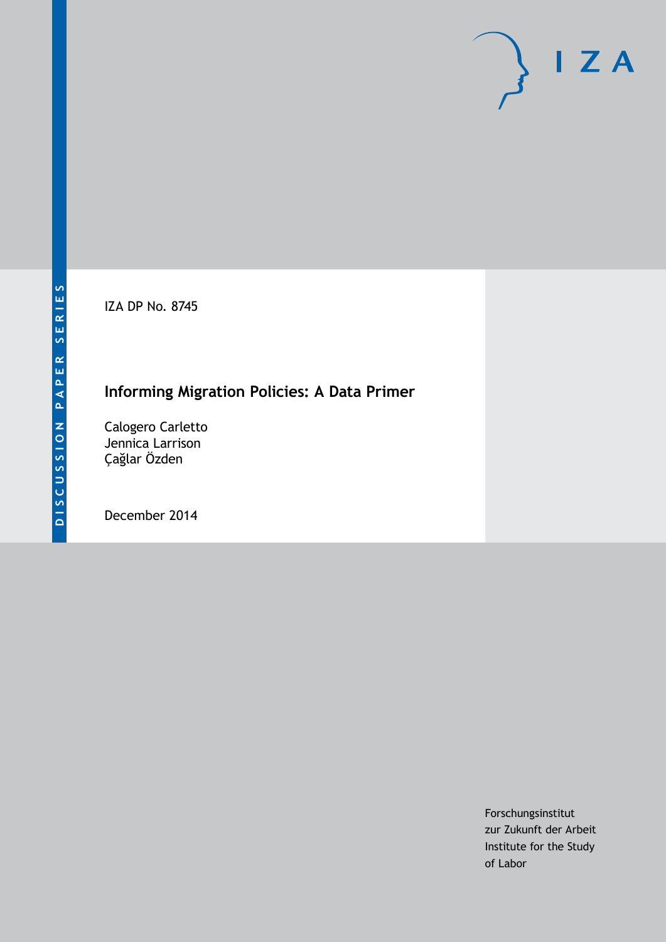IZA DP No. 8745

# **Informing Migration Policies: A Data Primer**

Calogero Carletto Jennica Larrison Çağlar Özden

December 2014

Forschungsinstitut zur Zukunft der Arbeit Institute for the Study of Labor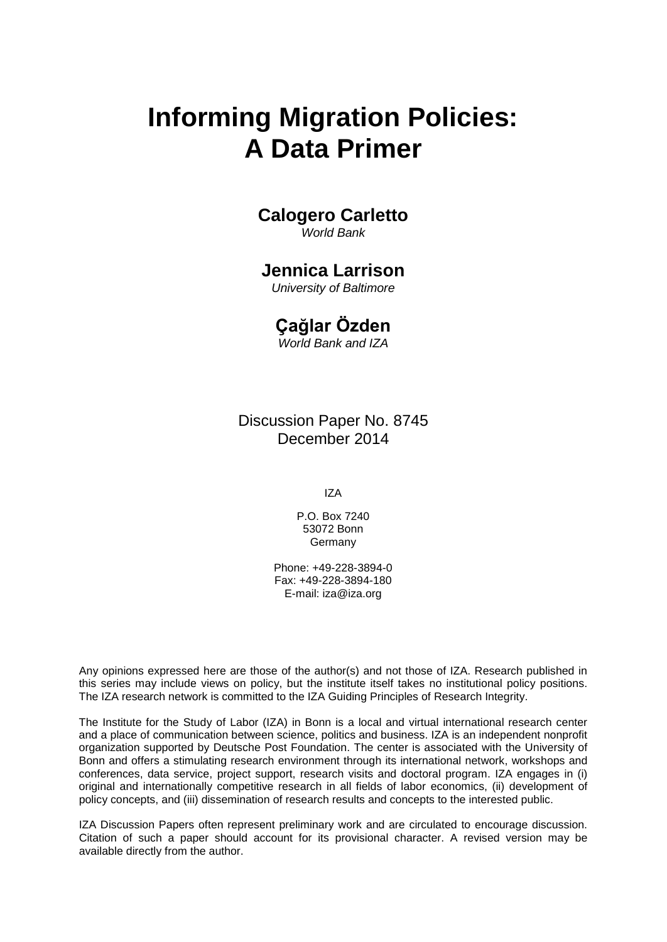# **Informing Migration Policies: A Data Primer**

# **Calogero Carletto**

*World Bank*

# **Jennica Larrison**

*University of Baltimore*

# **Çağlar Özden**

*World Bank and IZA*

Discussion Paper No. 8745 December 2014

IZA

P.O. Box 7240 53072 Bonn Germany

Phone: +49-228-3894-0 Fax: +49-228-3894-180 E-mail: [iza@iza.org](mailto:iza@iza.org)

Any opinions expressed here are those of the author(s) and not those of IZA. Research published in this series may include views on policy, but the institute itself takes no institutional policy positions. The IZA research network is committed to the IZA Guiding Principles of Research Integrity.

The Institute for the Study of Labor (IZA) in Bonn is a local and virtual international research center and a place of communication between science, politics and business. IZA is an independent nonprofit organization supported by Deutsche Post Foundation. The center is associated with the University of Bonn and offers a stimulating research environment through its international network, workshops and conferences, data service, project support, research visits and doctoral program. IZA engages in (i) original and internationally competitive research in all fields of labor economics, (ii) development of policy concepts, and (iii) dissemination of research results and concepts to the interested public.

IZA Discussion Papers often represent preliminary work and are circulated to encourage discussion. Citation of such a paper should account for its provisional character. A revised version may be available directly from the author.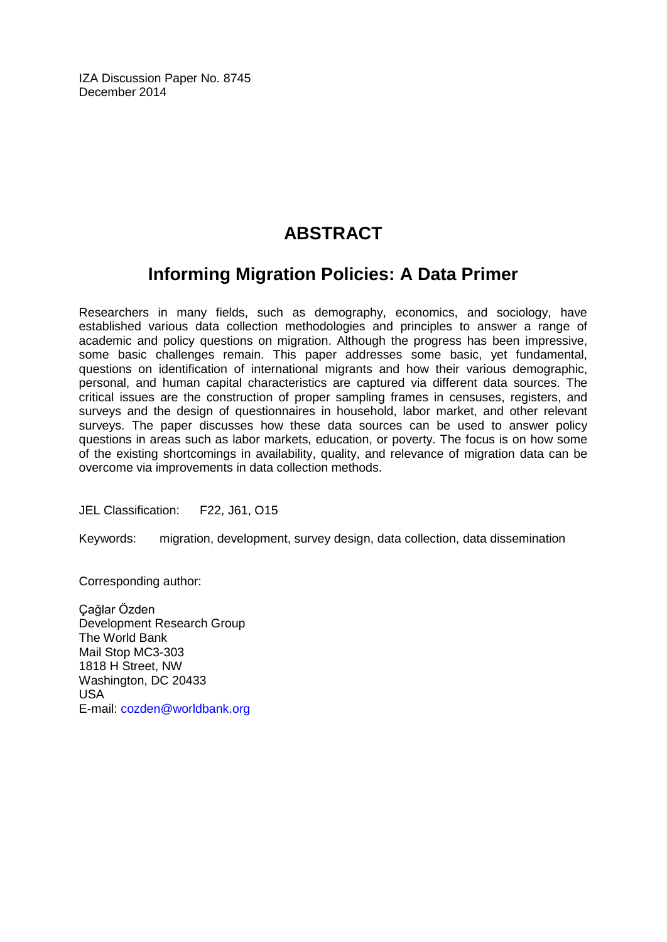IZA Discussion Paper No. 8745 December 2014

# **ABSTRACT**

# **Informing Migration Policies: A Data Primer**

Researchers in many fields, such as demography, economics, and sociology, have established various data collection methodologies and principles to answer a range of academic and policy questions on migration. Although the progress has been impressive, some basic challenges remain. This paper addresses some basic, yet fundamental, questions on identification of international migrants and how their various demographic, personal, and human capital characteristics are captured via different data sources. The critical issues are the construction of proper sampling frames in censuses, registers, and surveys and the design of questionnaires in household, labor market, and other relevant surveys. The paper discusses how these data sources can be used to answer policy questions in areas such as labor markets, education, or poverty. The focus is on how some of the existing shortcomings in availability, quality, and relevance of migration data can be overcome via improvements in data collection methods.

JEL Classification: F22, J61, O15

Keywords: migration, development, survey design, data collection, data dissemination

Corresponding author:

Çağlar Özden Development Research Group The World Bank Mail Stop MC3-303 1818 H Street, NW Washington, DC 20433 USA E-mail: [cozden@worldbank.org](mailto:cozden@worldbank.org)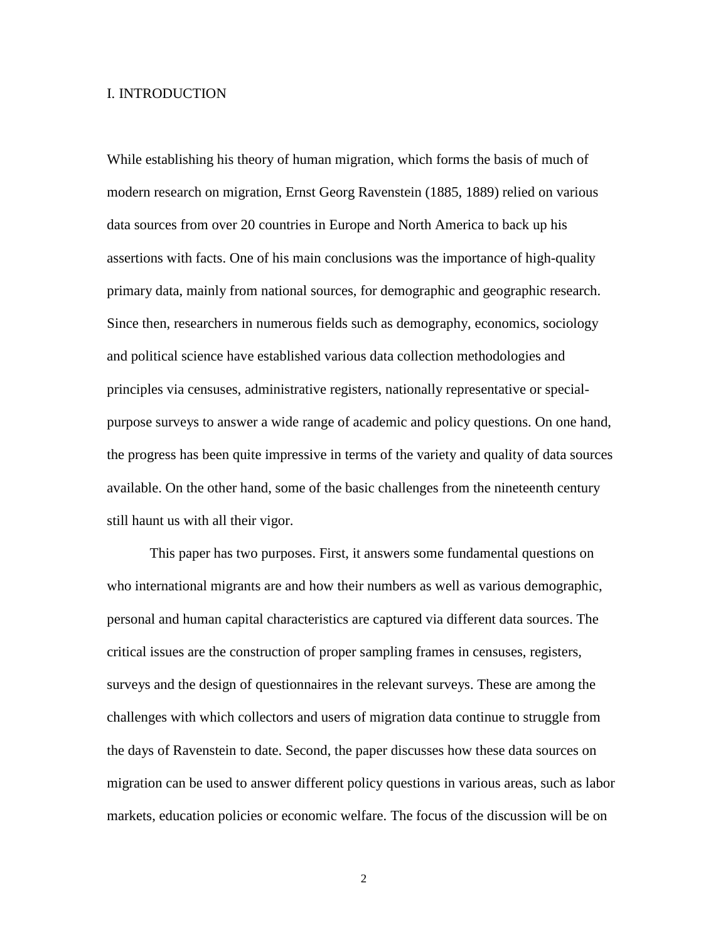#### I. INTRODUCTION

While establishing his theory of human migration, which forms the basis of much of modern research on migration, Ernst Georg Ravenstein (1885, 1889) relied on various data sources from over 20 countries in Europe and North America to back up his assertions with facts. One of his main conclusions was the importance of high-quality primary data, mainly from national sources, for demographic and geographic research. Since then, researchers in numerous fields such as demography, economics, sociology and political science have established various data collection methodologies and principles via censuses, administrative registers, nationally representative or specialpurpose surveys to answer a wide range of academic and policy questions. On one hand, the progress has been quite impressive in terms of the variety and quality of data sources available. On the other hand, some of the basic challenges from the nineteenth century still haunt us with all their vigor.

This paper has two purposes. First, it answers some fundamental questions on who international migrants are and how their numbers as well as various demographic, personal and human capital characteristics are captured via different data sources. The critical issues are the construction of proper sampling frames in censuses, registers, surveys and the design of questionnaires in the relevant surveys. These are among the challenges with which collectors and users of migration data continue to struggle from the days of Ravenstein to date. Second, the paper discusses how these data sources on migration can be used to answer different policy questions in various areas, such as labor markets, education policies or economic welfare. The focus of the discussion will be on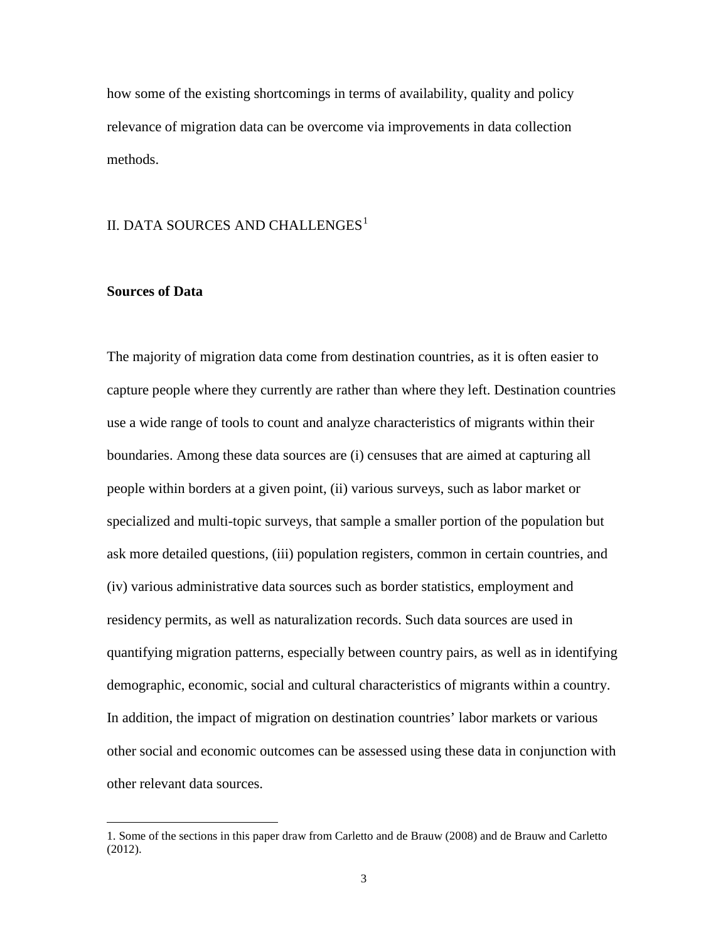how some of the existing shortcomings in terms of availability, quality and policy relevance of migration data can be overcome via improvements in data collection methods.

# II. DATA SOURCES AND CHALLENGES $^1$  $^1$

#### **Sources of Data**

The majority of migration data come from destination countries, as it is often easier to capture people where they currently are rather than where they left. Destination countries use a wide range of tools to count and analyze characteristics of migrants within their boundaries. Among these data sources are (i) censuses that are aimed at capturing all people within borders at a given point, (ii) various surveys, such as labor market or specialized and multi-topic surveys, that sample a smaller portion of the population but ask more detailed questions, (iii) population registers, common in certain countries, and (iv) various administrative data sources such as border statistics, employment and residency permits, as well as naturalization records. Such data sources are used in quantifying migration patterns, especially between country pairs, as well as in identifying demographic, economic, social and cultural characteristics of migrants within a country. In addition, the impact of migration on destination countries' labor markets or various other social and economic outcomes can be assessed using these data in conjunction with other relevant data sources.

<span id="page-4-0"></span>1. Some of the sections in this paper draw from Carletto and de Brauw (2008) and de Brauw and Carletto (2012).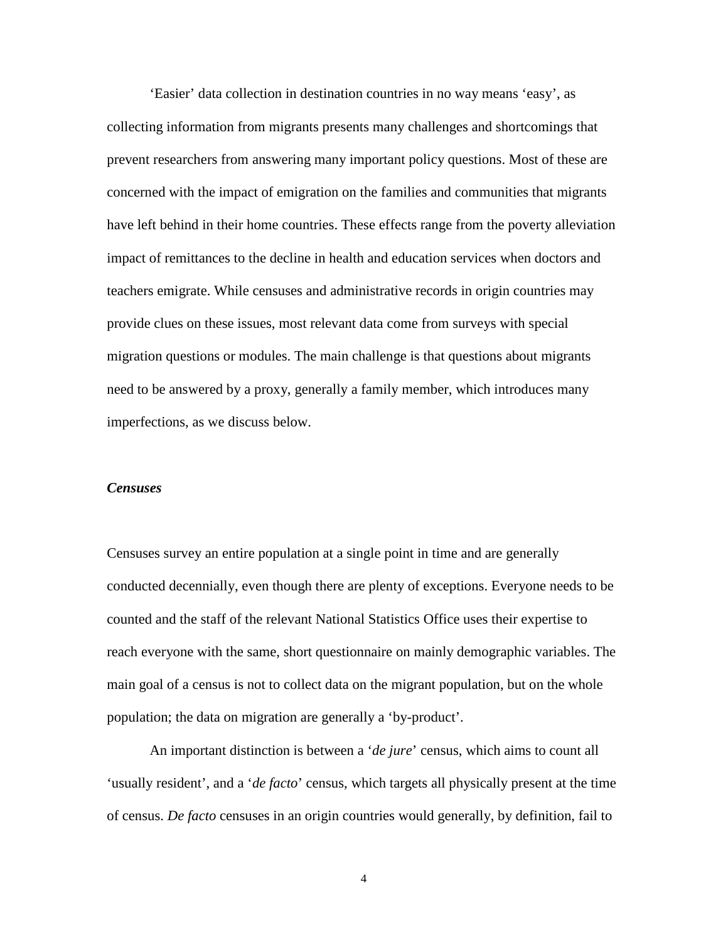'Easier' data collection in destination countries in no way means 'easy', as collecting information from migrants presents many challenges and shortcomings that prevent researchers from answering many important policy questions. Most of these are concerned with the impact of emigration on the families and communities that migrants have left behind in their home countries. These effects range from the poverty alleviation impact of remittances to the decline in health and education services when doctors and teachers emigrate. While censuses and administrative records in origin countries may provide clues on these issues, most relevant data come from surveys with special migration questions or modules. The main challenge is that questions about migrants need to be answered by a proxy, generally a family member, which introduces many imperfections, as we discuss below.

### *Censuses*

Censuses survey an entire population at a single point in time and are generally conducted decennially, even though there are plenty of exceptions. Everyone needs to be counted and the staff of the relevant National Statistics Office uses their expertise to reach everyone with the same, short questionnaire on mainly demographic variables. The main goal of a census is not to collect data on the migrant population, but on the whole population; the data on migration are generally a 'by-product'.

An important distinction is between a '*de jure*' census, which aims to count all 'usually resident', and a '*de facto*' census, which targets all physically present at the time of census. *De facto* censuses in an origin countries would generally, by definition, fail to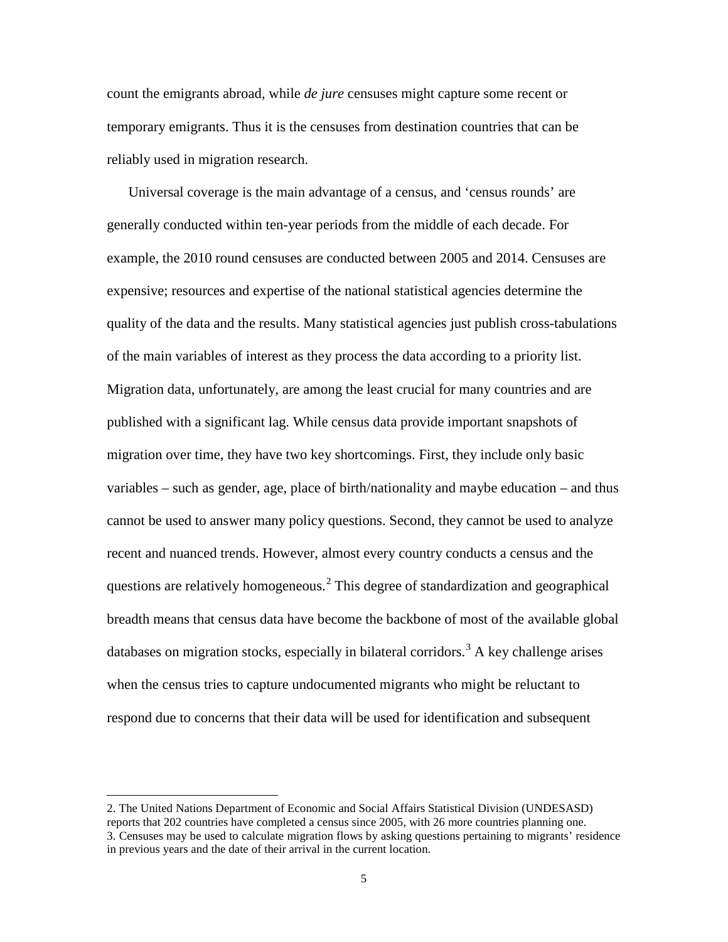count the emigrants abroad, while *de jure* censuses might capture some recent or temporary emigrants. Thus it is the censuses from destination countries that can be reliably used in migration research.

Universal coverage is the main advantage of a census, and 'census rounds' are generally conducted within ten-year periods from the middle of each decade. For example, the 2010 round censuses are conducted between 2005 and 2014. Censuses are expensive; resources and expertise of the national statistical agencies determine the quality of the data and the results. Many statistical agencies just publish cross-tabulations of the main variables of interest as they process the data according to a priority list. Migration data, unfortunately, are among the least crucial for many countries and are published with a significant lag. While census data provide important snapshots of migration over time, they have two key shortcomings. First, they include only basic variables – such as gender, age, place of birth/nationality and maybe education – and thus cannot be used to answer many policy questions. Second, they cannot be used to analyze recent and nuanced trends. However, almost every country conducts a census and the questions are relatively homogeneous.[2](#page-4-0) This degree of standardization and geographical breadth means that census data have become the backbone of most of the available global databases on migration stocks, especially in bilateral corridors.<sup>[3](#page-6-0)</sup> A key challenge arises when the census tries to capture undocumented migrants who might be reluctant to respond due to concerns that their data will be used for identification and subsequent

<span id="page-6-0"></span>2. The United Nations Department of Economic and Social Affairs Statistical Division (UNDESASD) reports that 202 countries have completed a census since 2005, with 26 more countries planning one. 3. Censuses may be used to calculate migration flows by asking questions pertaining to migrants' residence in previous years and the date of their arrival in the current location.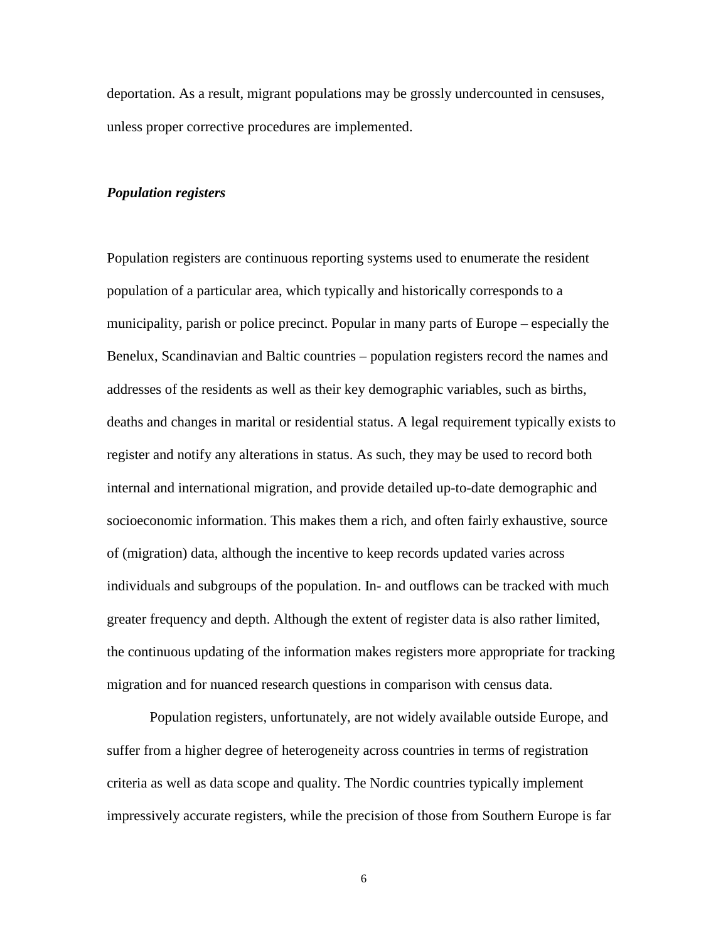deportation. As a result, migrant populations may be grossly undercounted in censuses, unless proper corrective procedures are implemented.

#### *Population registers*

Population registers are continuous reporting systems used to enumerate the resident population of a particular area, which typically and historically corresponds to a municipality, parish or police precinct. Popular in many parts of Europe – especially the Benelux, Scandinavian and Baltic countries – population registers record the names and addresses of the residents as well as their key demographic variables, such as births, deaths and changes in marital or residential status. A legal requirement typically exists to register and notify any alterations in status. As such, they may be used to record both internal and international migration, and provide detailed up-to-date demographic and socioeconomic information. This makes them a rich, and often fairly exhaustive, source of (migration) data, although the incentive to keep records updated varies across individuals and subgroups of the population. In- and outflows can be tracked with much greater frequency and depth. Although the extent of register data is also rather limited, the continuous updating of the information makes registers more appropriate for tracking migration and for nuanced research questions in comparison with census data.

Population registers, unfortunately, are not widely available outside Europe, and suffer from a higher degree of heterogeneity across countries in terms of registration criteria as well as data scope and quality. The Nordic countries typically implement impressively accurate registers, while the precision of those from Southern Europe is far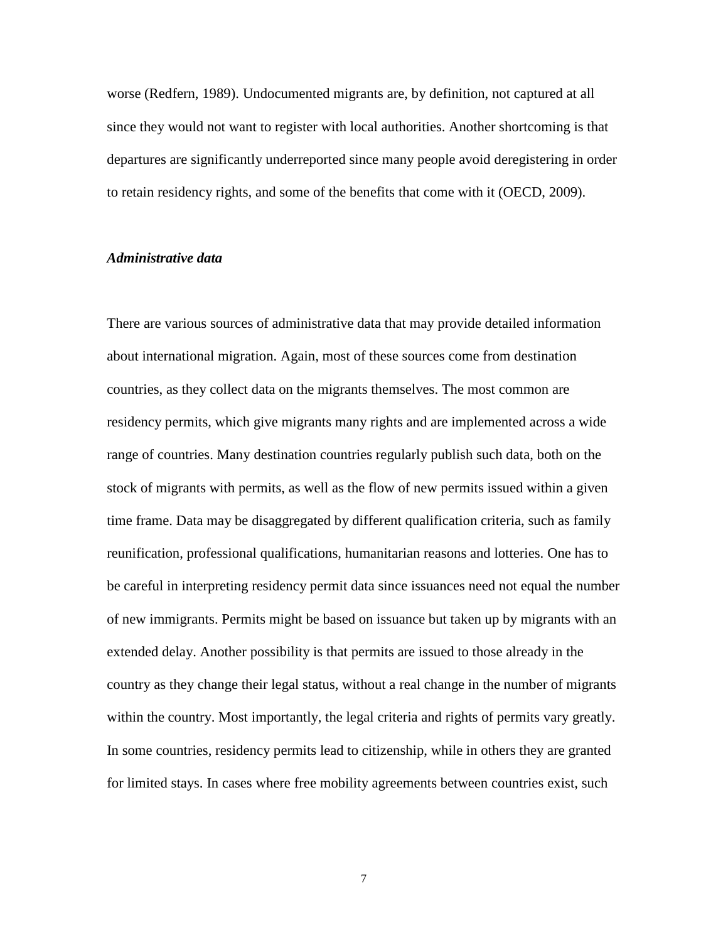worse (Redfern, 1989). Undocumented migrants are, by definition, not captured at all since they would not want to register with local authorities. Another shortcoming is that departures are significantly underreported since many people avoid deregistering in order to retain residency rights, and some of the benefits that come with it (OECD, 2009).

# *Administrative data*

There are various sources of administrative data that may provide detailed information about international migration. Again, most of these sources come from destination countries, as they collect data on the migrants themselves. The most common are residency permits, which give migrants many rights and are implemented across a wide range of countries. Many destination countries regularly publish such data, both on the stock of migrants with permits, as well as the flow of new permits issued within a given time frame. Data may be disaggregated by different qualification criteria, such as family reunification, professional qualifications, humanitarian reasons and lotteries. One has to be careful in interpreting residency permit data since issuances need not equal the number of new immigrants. Permits might be based on issuance but taken up by migrants with an extended delay. Another possibility is that permits are issued to those already in the country as they change their legal status, without a real change in the number of migrants within the country. Most importantly, the legal criteria and rights of permits vary greatly. In some countries, residency permits lead to citizenship, while in others they are granted for limited stays. In cases where free mobility agreements between countries exist, such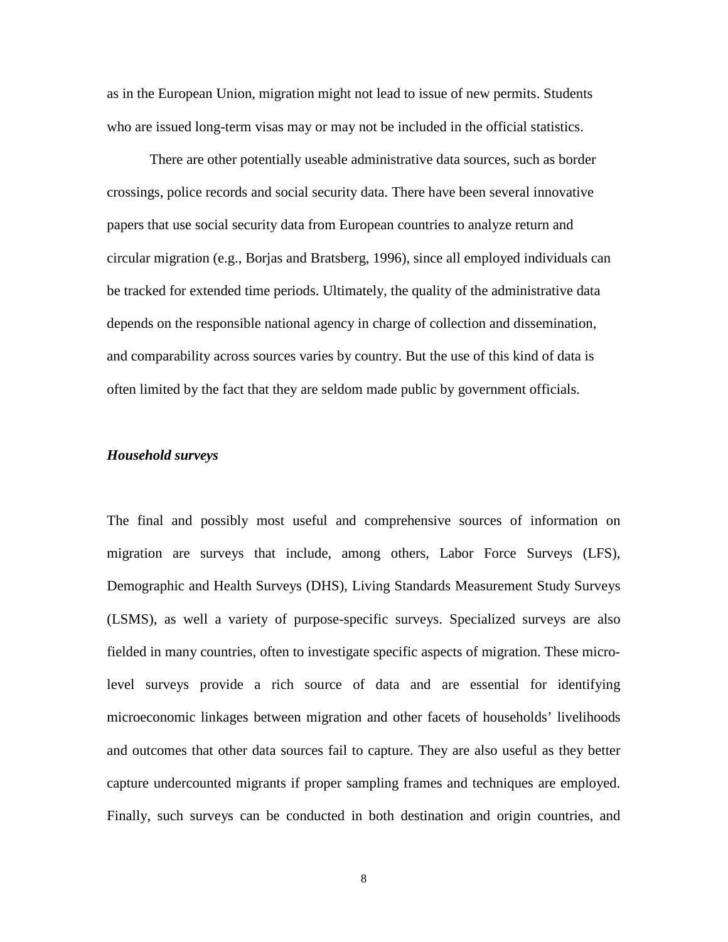as in the European Union, migration might not lead to issue of new permits. Students who are issued long-term visas may or may not be included in the official statistics.

There are other potentially useable administrative data sources, such as border crossings, police records and social security data. There have been several innovative papers that use social security data from European countries to analyze return and circular migration (e.g., Borjas and Bratsberg, 1996), since all employed individuals can be tracked for extended time periods. Ultimately, the quality of the administrative data depends on the responsible national agency in charge of collection and dissemination, and comparability across sources varies by country. But the use of this kind of data is often limited by the fact that they are seldom made public by government officials.

#### *Household surveys*

The final and possibly most useful and comprehensive sources of information on migration are surveys that include, among others, Labor Force Surveys (LFS), Demographic and Health Surveys (DHS), Living Standards Measurement Study Surveys (LSMS), as well a variety of purpose-specific surveys. Specialized surveys are also fielded in many countries, often to investigate specific aspects of migration. These microlevel surveys provide a rich source of data and are essential for identifying microeconomic linkages between migration and other facets of households' livelihoods and outcomes that other data sources fail to capture. They are also useful as they better capture undercounted migrants if proper sampling frames and techniques are employed. Finally, such surveys can be conducted in both destination and origin countries, and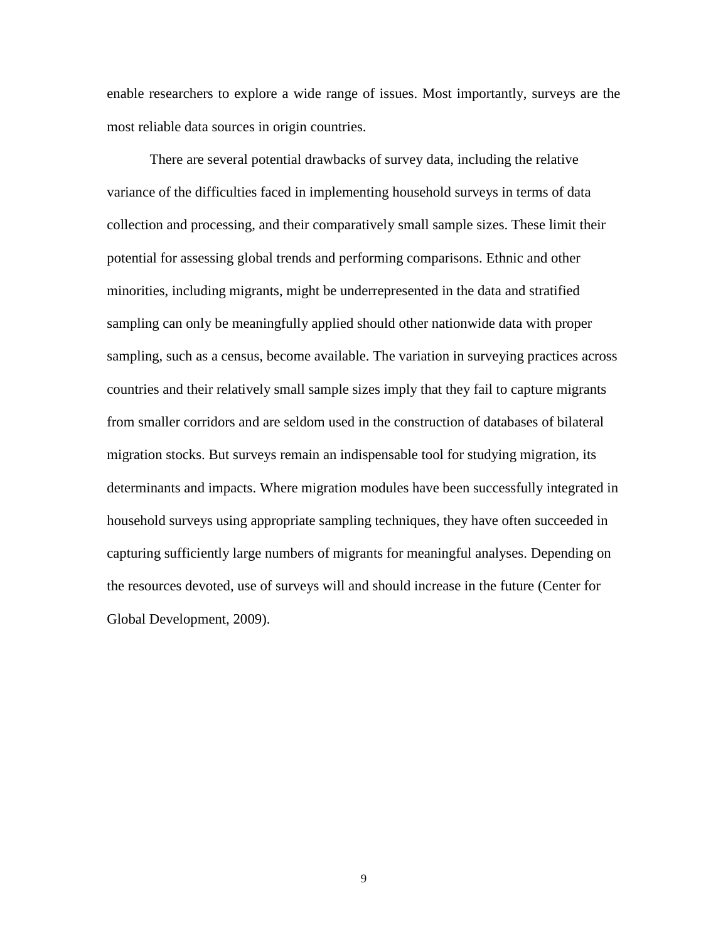enable researchers to explore a wide range of issues. Most importantly, surveys are the most reliable data sources in origin countries.

There are several potential drawbacks of survey data, including the relative variance of the difficulties faced in implementing household surveys in terms of data collection and processing, and their comparatively small sample sizes. These limit their potential for assessing global trends and performing comparisons. Ethnic and other minorities, including migrants, might be underrepresented in the data and stratified sampling can only be meaningfully applied should other nationwide data with proper sampling, such as a census, become available. The variation in surveying practices across countries and their relatively small sample sizes imply that they fail to capture migrants from smaller corridors and are seldom used in the construction of databases of bilateral migration stocks. But surveys remain an indispensable tool for studying migration, its determinants and impacts. Where migration modules have been successfully integrated in household surveys using appropriate sampling techniques, they have often succeeded in capturing sufficiently large numbers of migrants for meaningful analyses. Depending on the resources devoted, use of surveys will and should increase in the future (Center for Global Development, 2009).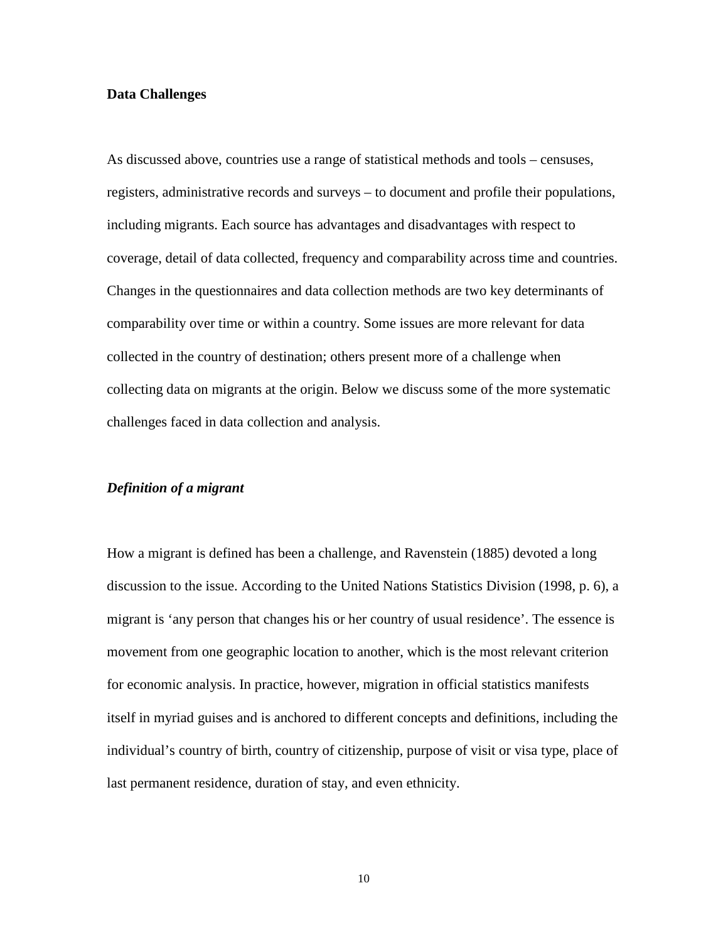### **Data Challenges**

As discussed above, countries use a range of statistical methods and tools – censuses, registers, administrative records and surveys – to document and profile their populations, including migrants. Each source has advantages and disadvantages with respect to coverage, detail of data collected, frequency and comparability across time and countries. Changes in the questionnaires and data collection methods are two key determinants of comparability over time or within a country. Some issues are more relevant for data collected in the country of destination; others present more of a challenge when collecting data on migrants at the origin. Below we discuss some of the more systematic challenges faced in data collection and analysis.

### *Definition of a migrant*

<span id="page-11-0"></span>How a migrant is defined has been a challenge, and Ravenstein (1885) devoted a long discussion to the issue. According to the United Nations Statistics Division (1998, p. 6), a migrant is 'any person that changes his or her country of usual residence'. The essence is movement from one geographic location to another, which is the most relevant criterion for economic analysis. In practice, however, migration in official statistics manifests itself in myriad guises and is anchored to different concepts and definitions, including the individual's country of birth, country of citizenship, purpose of visit or visa type, place of last permanent residence, duration of stay, and even ethnicity.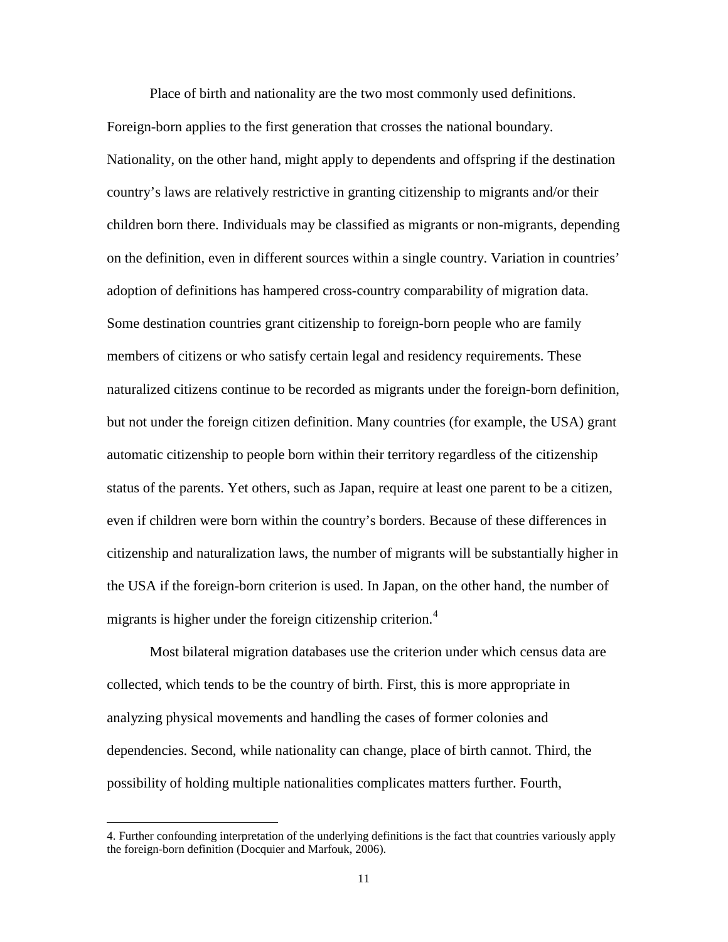Place of birth and nationality are the two most commonly used definitions. Foreign-born applies to the first generation that crosses the national boundary. Nationality, on the other hand, might apply to dependents and offspring if the destination country's laws are relatively restrictive in granting citizenship to migrants and/or their children born there. Individuals may be classified as migrants or non-migrants, depending on the definition, even in different sources within a single country. Variation in countries' adoption of definitions has hampered cross-country comparability of migration data. Some destination countries grant citizenship to foreign-born people who are family members of citizens or who satisfy certain legal and residency requirements. These naturalized citizens continue to be recorded as migrants under the foreign-born definition, but not under the foreign citizen definition. Many countries (for example, the USA) grant automatic citizenship to people born within their territory regardless of the citizenship status of the parents. Yet others, such as Japan, require at least one parent to be a citizen, even if children were born within the country's borders. Because of these differences in citizenship and naturalization laws, the number of migrants will be substantially higher in the USA if the foreign-born criterion is used. In Japan, on the other hand, the number of migrants is higher under the foreign citizenship criterion.<sup>[4](#page-6-0)</sup>

Most bilateral migration databases use the criterion under which census data are collected, which tends to be the country of birth. First, this is more appropriate in analyzing physical movements and handling the cases of former colonies and dependencies. Second, while nationality can change, place of birth cannot. Third, the possibility of holding multiple nationalities complicates matters further. Fourth,

<span id="page-12-0"></span>4. Further confounding interpretation of the underlying definitions is the fact that countries variously apply the foreign-born definition (Docquier and Marfouk, 2006).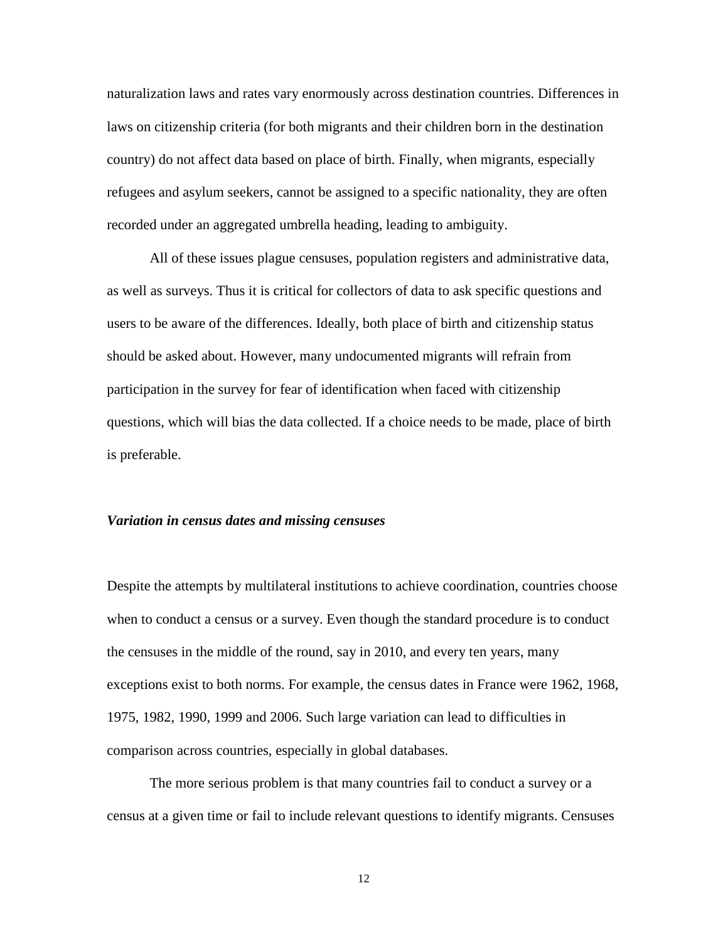naturalization laws and rates vary enormously across destination countries. Differences in laws on citizenship criteria (for both migrants and their children born in the destination country) do not affect data based on place of birth. Finally, when migrants, especially refugees and asylum seekers, cannot be assigned to a specific nationality, they are often recorded under an aggregated umbrella heading, leading to ambiguity.

All of these issues plague censuses, population registers and administrative data, as well as surveys. Thus it is critical for collectors of data to ask specific questions and users to be aware of the differences. Ideally, both place of birth and citizenship status should be asked about. However, many undocumented migrants will refrain from participation in the survey for fear of identification when faced with citizenship questions, which will bias the data collected. If a choice needs to be made, place of birth is preferable.

#### *Variation in census dates and missing censuses*

Despite the attempts by multilateral institutions to achieve coordination, countries choose when to conduct a census or a survey. Even though the standard procedure is to conduct the censuses in the middle of the round, say in 2010, and every ten years, many exceptions exist to both norms. For example, the census dates in France were 1962, 1968, 1975, 1982, 1990, 1999 and 2006. Such large variation can lead to difficulties in comparison across countries, especially in global databases.

The more serious problem is that many countries fail to conduct a survey or a census at a given time or fail to include relevant questions to identify migrants. Censuses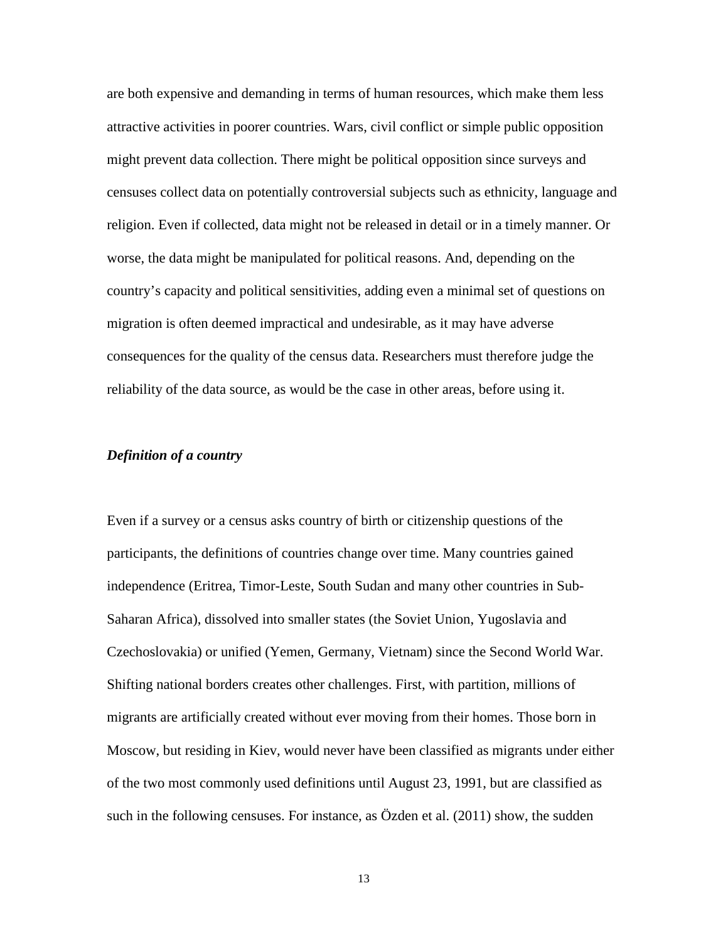are both expensive and demanding in terms of human resources, which make them less attractive activities in poorer countries. Wars, civil conflict or simple public opposition might prevent data collection. There might be political opposition since surveys and censuses collect data on potentially controversial subjects such as ethnicity, language and religion. Even if collected, data might not be released in detail or in a timely manner. Or worse, the data might be manipulated for political reasons. And, depending on the country's capacity and political sensitivities, adding even a minimal set of questions on migration is often deemed impractical and undesirable, as it may have adverse consequences for the quality of the census data. Researchers must therefore judge the reliability of the data source, as would be the case in other areas, before using it.

# *Definition of a country*

Even if a survey or a census asks country of birth or citizenship questions of the participants, the definitions of countries change over time. Many countries gained independence (Eritrea, Timor-Leste, South Sudan and many other countries in Sub-Saharan Africa), dissolved into smaller states (the Soviet Union, Yugoslavia and Czechoslovakia) or unified (Yemen, Germany, Vietnam) since the Second World War. Shifting national borders creates other challenges. First, with partition, millions of migrants are artificially created without ever moving from their homes. Those born in Moscow, but residing in Kiev, would never have been classified as migrants under either of the two most commonly used definitions until August 23, 1991, but are classified as such in the following censuses. For instance, as Özden et al. (2011) show, the sudden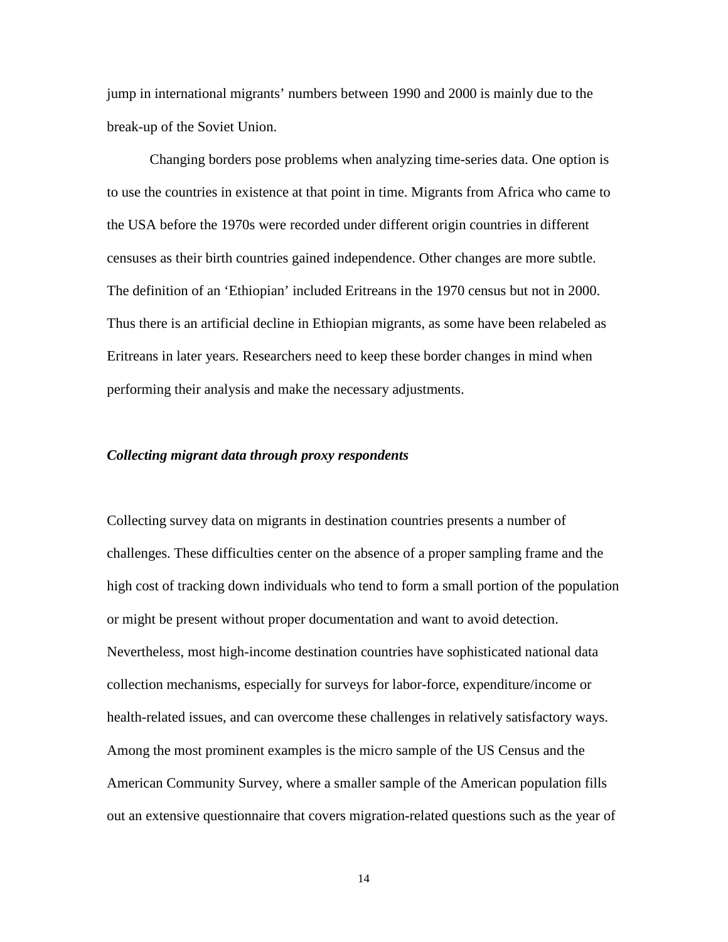jump in international migrants' numbers between 1990 and 2000 is mainly due to the break-up of the Soviet Union.

Changing borders pose problems when analyzing time-series data. One option is to use the countries in existence at that point in time. Migrants from Africa who came to the USA before the 1970s were recorded under different origin countries in different censuses as their birth countries gained independence. Other changes are more subtle. The definition of an 'Ethiopian' included Eritreans in the 1970 census but not in 2000. Thus there is an artificial decline in Ethiopian migrants, as some have been relabeled as Eritreans in later years. Researchers need to keep these border changes in mind when performing their analysis and make the necessary adjustments.

#### *Collecting migrant data through proxy respondents*

Collecting survey data on migrants in destination countries presents a number of challenges. These difficulties center on the absence of a proper sampling frame and the high cost of tracking down individuals who tend to form a small portion of the population or might be present without proper documentation and want to avoid detection. Nevertheless, most high-income destination countries have sophisticated national data collection mechanisms, especially for surveys for labor-force, expenditure/income or health-related issues, and can overcome these challenges in relatively satisfactory ways. Among the most prominent examples is the micro sample of the US Census and the American Community Survey, where a smaller sample of the American population fills out an extensive questionnaire that covers migration-related questions such as the year of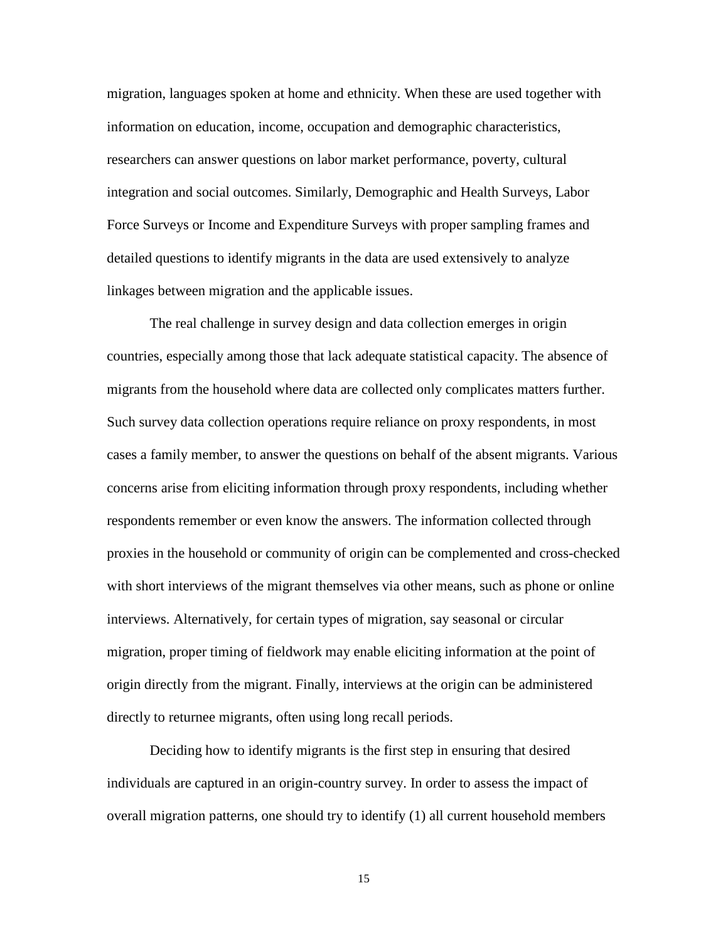migration, languages spoken at home and ethnicity. When these are used together with information on education, income, occupation and demographic characteristics, researchers can answer questions on labor market performance, poverty, cultural integration and social outcomes. Similarly, Demographic and Health Surveys, Labor Force Surveys or Income and Expenditure Surveys with proper sampling frames and detailed questions to identify migrants in the data are used extensively to analyze linkages between migration and the applicable issues.

The real challenge in survey design and data collection emerges in origin countries, especially among those that lack adequate statistical capacity. The absence of migrants from the household where data are collected only complicates matters further. Such survey data collection operations require reliance on proxy respondents, in most cases a family member, to answer the questions on behalf of the absent migrants. Various concerns arise from eliciting information through proxy respondents, including whether respondents remember or even know the answers. The information collected through proxies in the household or community of origin can be complemented and cross-checked with short interviews of the migrant themselves via other means, such as phone or online interviews. Alternatively, for certain types of migration, say seasonal or circular migration, proper timing of fieldwork may enable eliciting information at the point of origin directly from the migrant. Finally, interviews at the origin can be administered directly to returnee migrants, often using long recall periods.

Deciding how to identify migrants is the first step in ensuring that desired individuals are captured in an origin-country survey. In order to assess the impact of overall migration patterns, one should try to identify (1) all current household members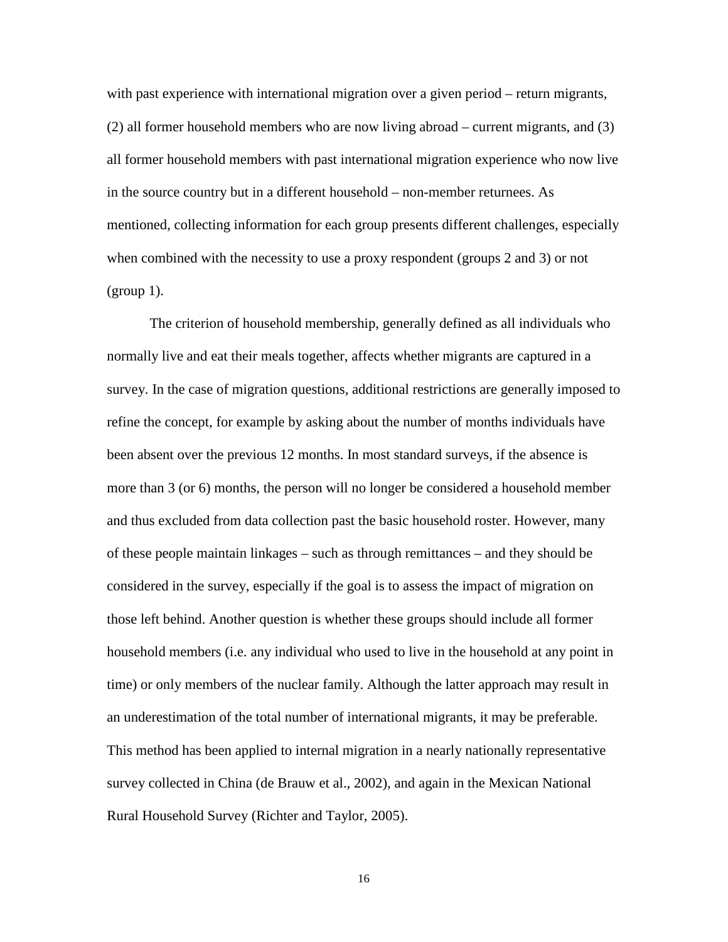with past experience with international migration over a given period – return migrants, (2) all former household members who are now living abroad – current migrants, and (3) all former household members with past international migration experience who now live in the source country but in a different household – non-member returnees. As mentioned, collecting information for each group presents different challenges, especially when combined with the necessity to use a proxy respondent (groups 2 and 3) or not  $(group 1)$ .

The criterion of household membership, generally defined as all individuals who normally live and eat their meals together, affects whether migrants are captured in a survey. In the case of migration questions, additional restrictions are generally imposed to refine the concept, for example by asking about the number of months individuals have been absent over the previous 12 months. In most standard surveys, if the absence is more than 3 (or 6) months, the person will no longer be considered a household member and thus excluded from data collection past the basic household roster. However, many of these people maintain linkages – such as through remittances – and they should be considered in the survey, especially if the goal is to assess the impact of migration on those left behind. Another question is whether these groups should include all former household members (i.e. any individual who used to live in the household at any point in time) or only members of the nuclear family. Although the latter approach may result in an underestimation of the total number of international migrants, it may be preferable. This method has been applied to internal migration in a nearly nationally representative survey collected in China (de Brauw et al., 2002), and again in the Mexican National Rural Household Survey (Richter and Taylor, 2005).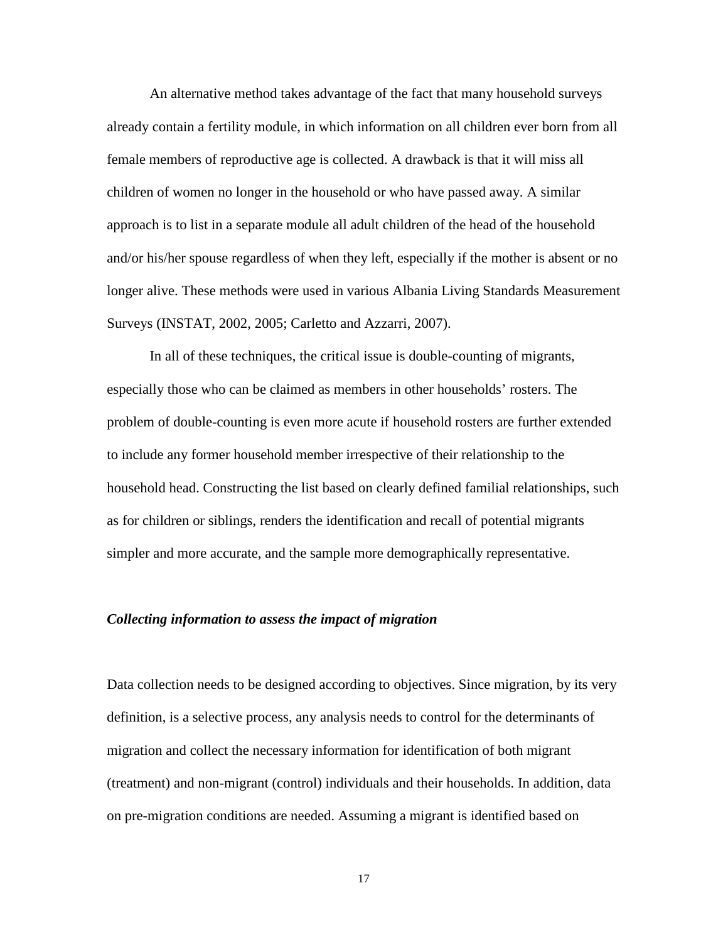An alternative method takes advantage of the fact that many household surveys already contain a fertility module, in which information on all children ever born from all female members of reproductive age is collected. A drawback is that it will miss all children of women no longer in the household or who have passed away. A similar approach is to list in a separate module all adult children of the head of the household and/or his/her spouse regardless of when they left, especially if the mother is absent or no longer alive. These methods were used in various Albania Living Standards Measurement Surveys (INSTAT, 2002, 2005; Carletto and Azzarri, 2007).

In all of these techniques, the critical issue is double-counting of migrants, especially those who can be claimed as members in other households' rosters. The problem of double-counting is even more acute if household rosters are further extended to include any former household member irrespective of their relationship to the household head. Constructing the list based on clearly defined familial relationships, such as for children or siblings, renders the identification and recall of potential migrants simpler and more accurate, and the sample more demographically representative.

### *Collecting information to assess the impact of migration*

Data collection needs to be designed according to objectives. Since migration, by its very definition, is a selective process, any analysis needs to control for the determinants of migration and collect the necessary information for identification of both migrant (treatment) and non-migrant (control) individuals and their households. In addition, data on pre-migration conditions are needed. Assuming a migrant is identified based on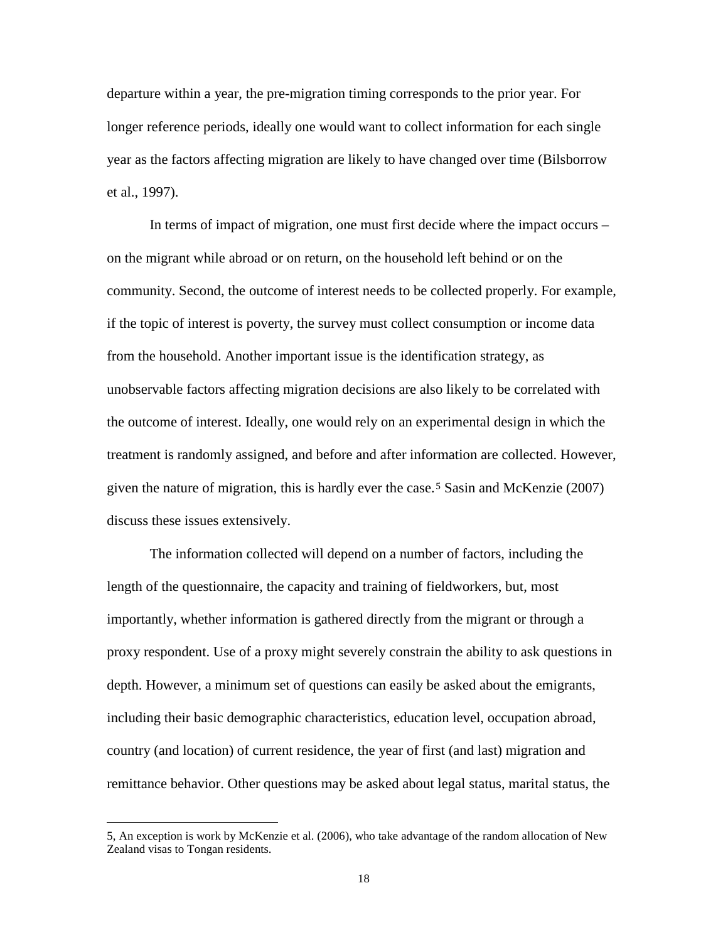departure within a year, the pre-migration timing corresponds to the prior year. For longer reference periods, ideally one would want to collect information for each single year as the factors affecting migration are likely to have changed over time (Bilsborrow et al., 1997).

In terms of impact of migration, one must first decide where the impact occurs – on the migrant while abroad or on return, on the household left behind or on the community. Second, the outcome of interest needs to be collected properly. For example, if the topic of interest is poverty, the survey must collect consumption or income data from the household. Another important issue is the identification strategy, as unobservable factors affecting migration decisions are also likely to be correlated with the outcome of interest. Ideally, one would rely on an experimental design in which the treatment is randomly assigned, and before and after information are collected. However, given the nature of migration, this is hardly ever the case.[5](#page-12-0) Sasin and McKenzie (2007) discuss these issues extensively.

The information collected will depend on a number of factors, including the length of the questionnaire, the capacity and training of fieldworkers, but, most importantly, whether information is gathered directly from the migrant or through a proxy respondent. Use of a proxy might severely constrain the ability to ask questions in depth. However, a minimum set of questions can easily be asked about the emigrants, including their basic demographic characteristics, education level, occupation abroad, country (and location) of current residence, the year of first (and last) migration and remittance behavior. Other questions may be asked about legal status, marital status, the

<span id="page-19-0"></span>5, An exception is work by McKenzie et al. (2006), who take advantage of the random allocation of New Zealand visas to Tongan residents.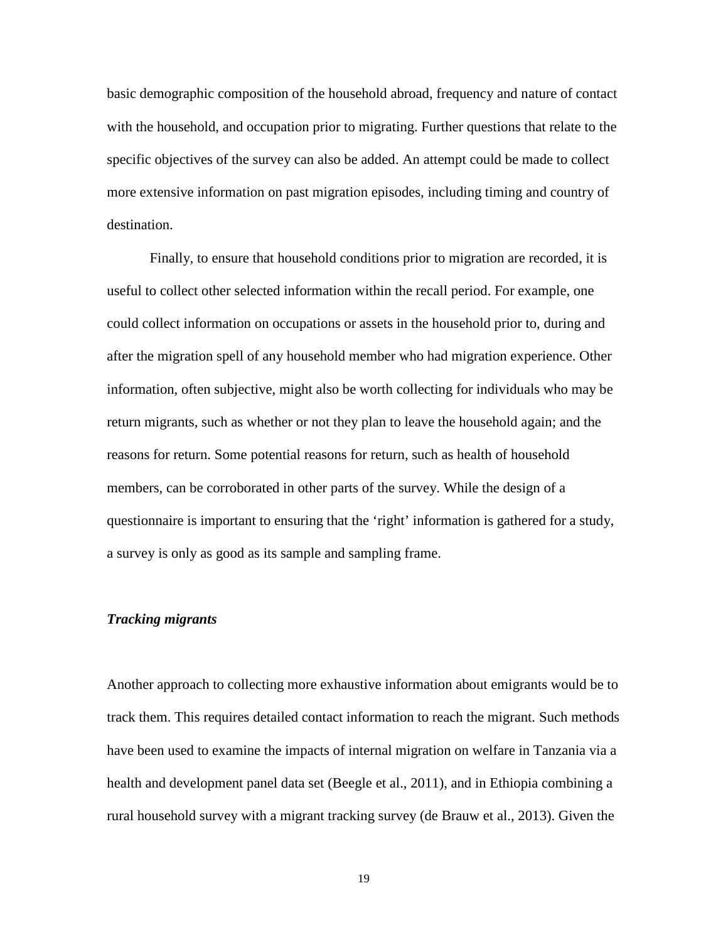basic demographic composition of the household abroad, frequency and nature of contact with the household, and occupation prior to migrating. Further questions that relate to the specific objectives of the survey can also be added. An attempt could be made to collect more extensive information on past migration episodes, including timing and country of destination.

Finally, to ensure that household conditions prior to migration are recorded, it is useful to collect other selected information within the recall period. For example, one could collect information on occupations or assets in the household prior to, during and after the migration spell of any household member who had migration experience. Other information, often subjective, might also be worth collecting for individuals who may be return migrants, such as whether or not they plan to leave the household again; and the reasons for return. Some potential reasons for return, such as health of household members, can be corroborated in other parts of the survey. While the design of a questionnaire is important to ensuring that the 'right' information is gathered for a study, a survey is only as good as its sample and sampling frame.

### *Tracking migrants*

Another approach to collecting more exhaustive information about emigrants would be to track them. This requires detailed contact information to reach the migrant. Such methods have been used to examine the impacts of internal migration on welfare in Tanzania via a health and development panel data set (Beegle et al., 2011), and in Ethiopia combining a rural household survey with a migrant tracking survey (de Brauw et al., 2013). Given the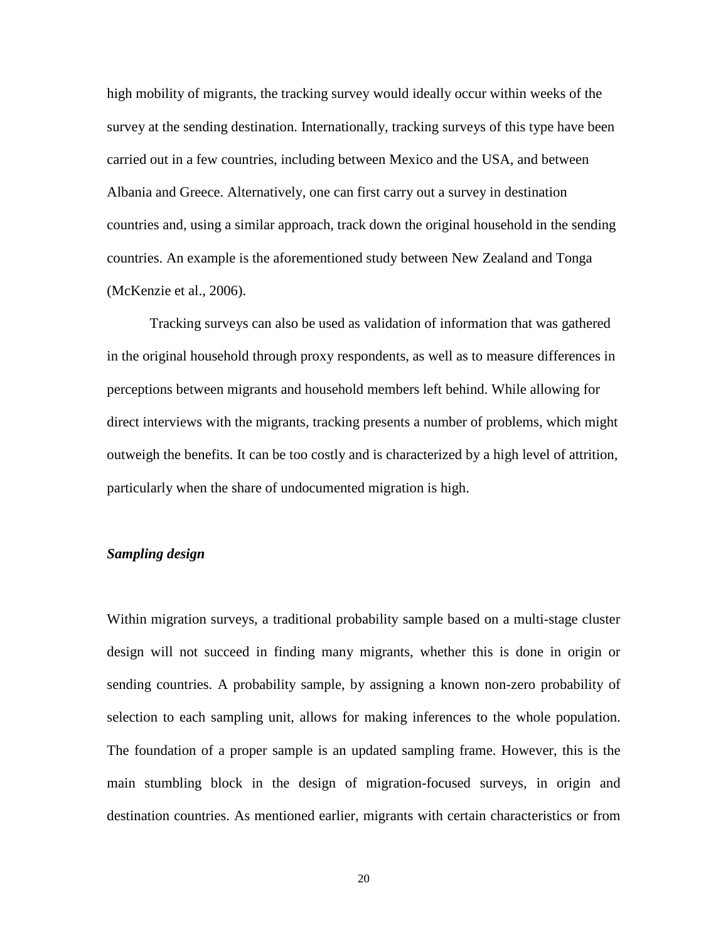high mobility of migrants, the tracking survey would ideally occur within weeks of the survey at the sending destination. Internationally, tracking surveys of this type have been carried out in a few countries, including between Mexico and the USA, and between Albania and Greece. Alternatively, one can first carry out a survey in destination countries and, using a similar approach, track down the original household in the sending countries. An example is the aforementioned study between New Zealand and Tonga (McKenzie et al., 2006).

Tracking surveys can also be used as validation of information that was gathered in the original household through proxy respondents, as well as to measure differences in perceptions between migrants and household members left behind. While allowing for direct interviews with the migrants, tracking presents a number of problems, which might outweigh the benefits. It can be too costly and is characterized by a high level of attrition, particularly when the share of undocumented migration is high.

# *Sampling design*

Within migration surveys, a traditional probability sample based on a multi-stage cluster design will not succeed in finding many migrants, whether this is done in origin or sending countries. A probability sample, by assigning a known non-zero probability of selection to each sampling unit, allows for making inferences to the whole population. The foundation of a proper sample is an updated sampling frame. However, this is the main stumbling block in the design of migration-focused surveys, in origin and destination countries. As mentioned earlier, migrants with certain characteristics or from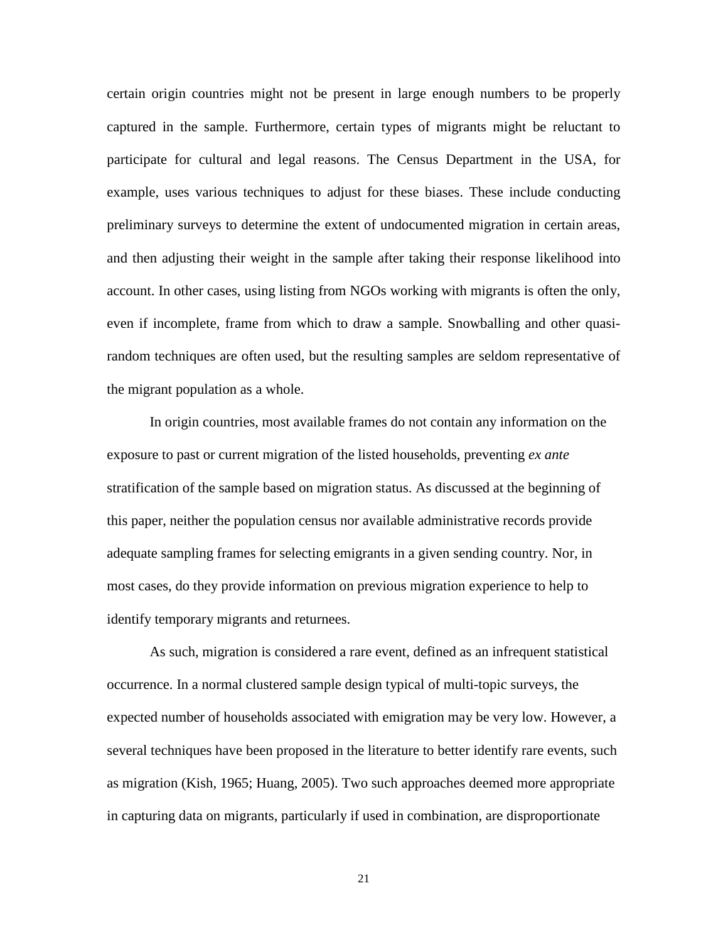certain origin countries might not be present in large enough numbers to be properly captured in the sample. Furthermore, certain types of migrants might be reluctant to participate for cultural and legal reasons. The Census Department in the USA, for example, uses various techniques to adjust for these biases. These include conducting preliminary surveys to determine the extent of undocumented migration in certain areas, and then adjusting their weight in the sample after taking their response likelihood into account. In other cases, using listing from NGOs working with migrants is often the only, even if incomplete, frame from which to draw a sample. Snowballing and other quasirandom techniques are often used, but the resulting samples are seldom representative of the migrant population as a whole.

In origin countries, most available frames do not contain any information on the exposure to past or current migration of the listed households, preventing *ex ante* stratification of the sample based on migration status. As discussed at the beginning of this paper, neither the population census nor available administrative records provide adequate sampling frames for selecting emigrants in a given sending country. Nor, in most cases, do they provide information on previous migration experience to help to identify temporary migrants and returnees.

As such, migration is considered a rare event, defined as an infrequent statistical occurrence. In a normal clustered sample design typical of multi-topic surveys, the expected number of households associated with emigration may be very low. However, a several techniques have been proposed in the literature to better identify rare events, such as migration (Kish, 1965; Huang, 2005). Two such approaches deemed more appropriate in capturing data on migrants, particularly if used in combination, are disproportionate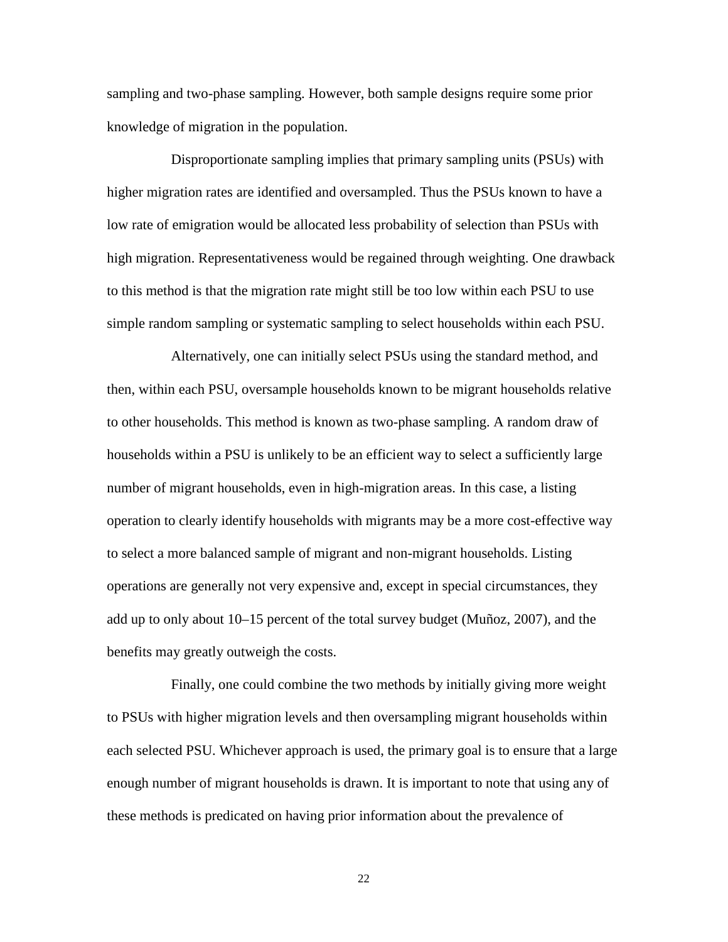sampling and two-phase sampling. However, both sample designs require some prior knowledge of migration in the population.

Disproportionate sampling implies that primary sampling units (PSUs) with higher migration rates are identified and oversampled. Thus the PSUs known to have a low rate of emigration would be allocated less probability of selection than PSUs with high migration. Representativeness would be regained through weighting. One drawback to this method is that the migration rate might still be too low within each PSU to use simple random sampling or systematic sampling to select households within each PSU.

Alternatively, one can initially select PSUs using the standard method, and then, within each PSU, oversample households known to be migrant households relative to other households. This method is known as two-phase sampling. A random draw of households within a PSU is unlikely to be an efficient way to select a sufficiently large number of migrant households, even in high-migration areas. In this case, a listing operation to clearly identify households with migrants may be a more cost-effective way to select a more balanced sample of migrant and non-migrant households. Listing operations are generally not very expensive and, except in special circumstances, they add up to only about 10–15 percent of the total survey budget (Muñoz, 2007), and the benefits may greatly outweigh the costs.

Finally, one could combine the two methods by initially giving more weight to PSUs with higher migration levels and then oversampling migrant households within each selected PSU. Whichever approach is used, the primary goal is to ensure that a large enough number of migrant households is drawn. It is important to note that using any of these methods is predicated on having prior information about the prevalence of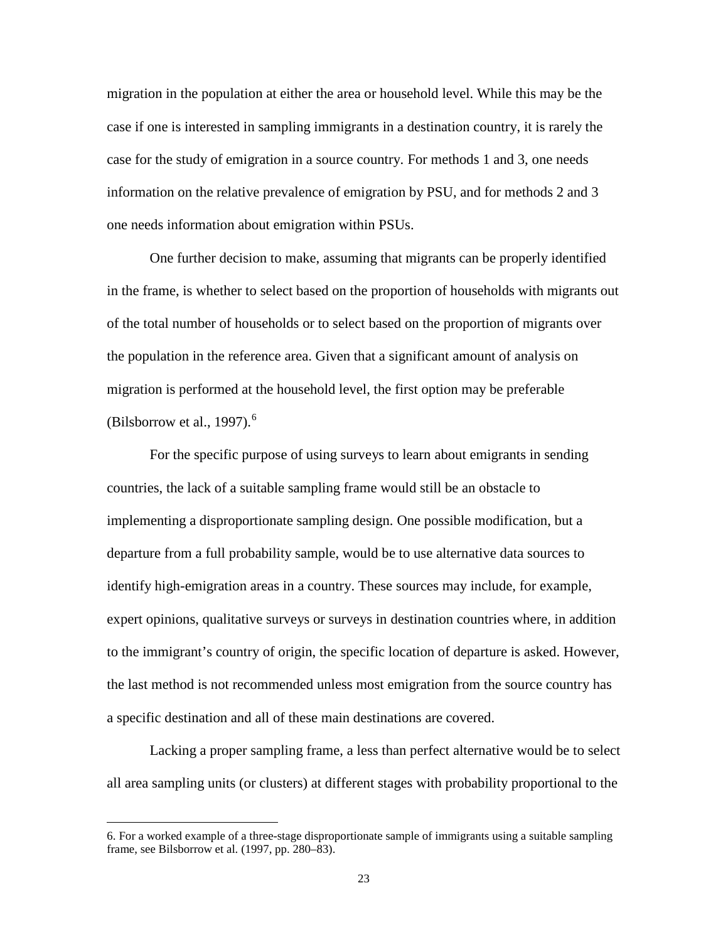migration in the population at either the area or household level. While this may be the case if one is interested in sampling immigrants in a destination country, it is rarely the case for the study of emigration in a source country. For methods 1 and 3, one needs information on the relative prevalence of emigration by PSU, and for methods 2 and 3 one needs information about emigration within PSUs.

One further decision to make, assuming that migrants can be properly identified in the frame, is whether to select based on the proportion of households with migrants out of the total number of households or to select based on the proportion of migrants over the population in the reference area. Given that a significant amount of analysis on migration is performed at the household level, the first option may be preferable (Bilsborrow et al., 1997). $^{6}$  $^{6}$  $^{6}$ 

For the specific purpose of using surveys to learn about emigrants in sending countries, the lack of a suitable sampling frame would still be an obstacle to implementing a disproportionate sampling design. One possible modification, but a departure from a full probability sample, would be to use alternative data sources to identify high-emigration areas in a country. These sources may include, for example, expert opinions, qualitative surveys or surveys in destination countries where, in addition to the immigrant's country of origin, the specific location of departure is asked. However, the last method is not recommended unless most emigration from the source country has a specific destination and all of these main destinations are covered.

Lacking a proper sampling frame, a less than perfect alternative would be to select all area sampling units (or clusters) at different stages with probability proportional to the

<span id="page-24-0"></span>6. For a worked example of a three-stage disproportionate sample of immigrants using a suitable sampling frame, see Bilsborrow et al. (1997, pp. 280–83).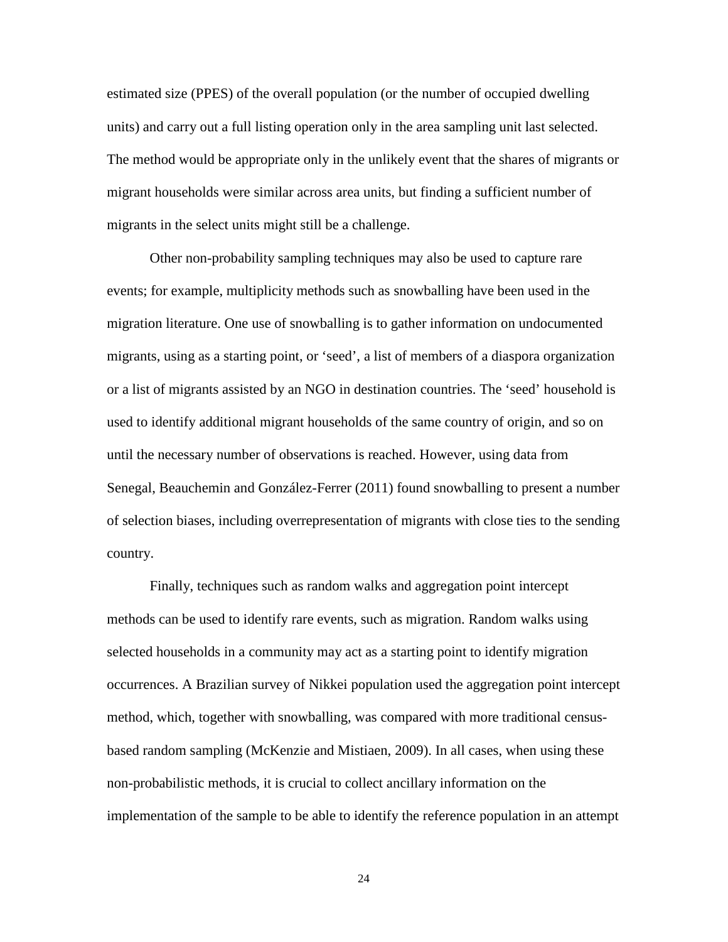estimated size (PPES) of the overall population (or the number of occupied dwelling units) and carry out a full listing operation only in the area sampling unit last selected. The method would be appropriate only in the unlikely event that the shares of migrants or migrant households were similar across area units, but finding a sufficient number of migrants in the select units might still be a challenge.

Other non-probability sampling techniques may also be used to capture rare events; for example, multiplicity methods such as snowballing have been used in the migration literature. One use of snowballing is to gather information on undocumented migrants, using as a starting point, or 'seed', a list of members of a diaspora organization or a list of migrants assisted by an NGO in destination countries. The 'seed' household is used to identify additional migrant households of the same country of origin, and so on until the necessary number of observations is reached. However, using data from Senegal, Beauchemin and González-Ferrer (2011) found snowballing to present a number of selection biases, including overrepresentation of migrants with close ties to the sending country.

Finally, techniques such as random walks and aggregation point intercept methods can be used to identify rare events, such as migration. Random walks using selected households in a community may act as a starting point to identify migration occurrences. A Brazilian survey of Nikkei population used the aggregation point intercept method, which, together with snowballing, was compared with more traditional censusbased random sampling (McKenzie and Mistiaen, 2009). In all cases, when using these non-probabilistic methods, it is crucial to collect ancillary information on the implementation of the sample to be able to identify the reference population in an attempt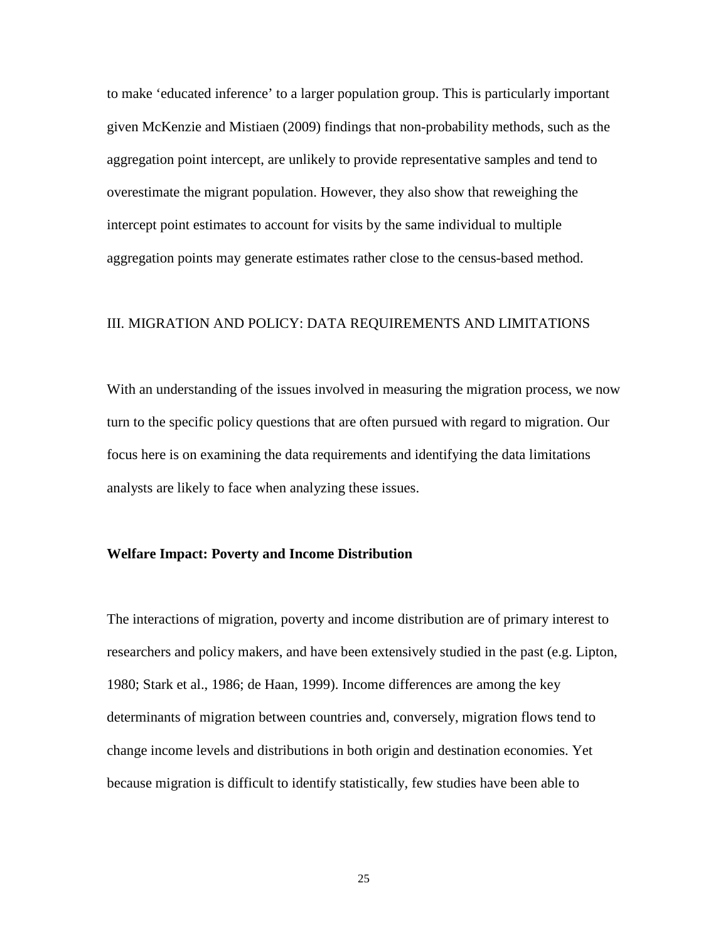to make 'educated inference' to a larger population group. This is particularly important given McKenzie and Mistiaen (2009) findings that non-probability methods, such as the aggregation point intercept, are unlikely to provide representative samples and tend to overestimate the migrant population. However, they also show that reweighing the intercept point estimates to account for visits by the same individual to multiple aggregation points may generate estimates rather close to the census-based method.

# III. MIGRATION AND POLICY: DATA REQUIREMENTS AND LIMITATIONS

With an understanding of the issues involved in measuring the migration process, we now turn to the specific policy questions that are often pursued with regard to migration. Our focus here is on examining the data requirements and identifying the data limitations analysts are likely to face when analyzing these issues.

# **Welfare Impact: Poverty and Income Distribution**

The interactions of migration, poverty and income distribution are of primary interest to researchers and policy makers, and have been extensively studied in the past (e.g. Lipton, 1980; Stark et al., 1986; de Haan, 1999). Income differences are among the key determinants of migration between countries and, conversely, migration flows tend to change income levels and distributions in both origin and destination economies. Yet because migration is difficult to identify statistically, few studies have been able to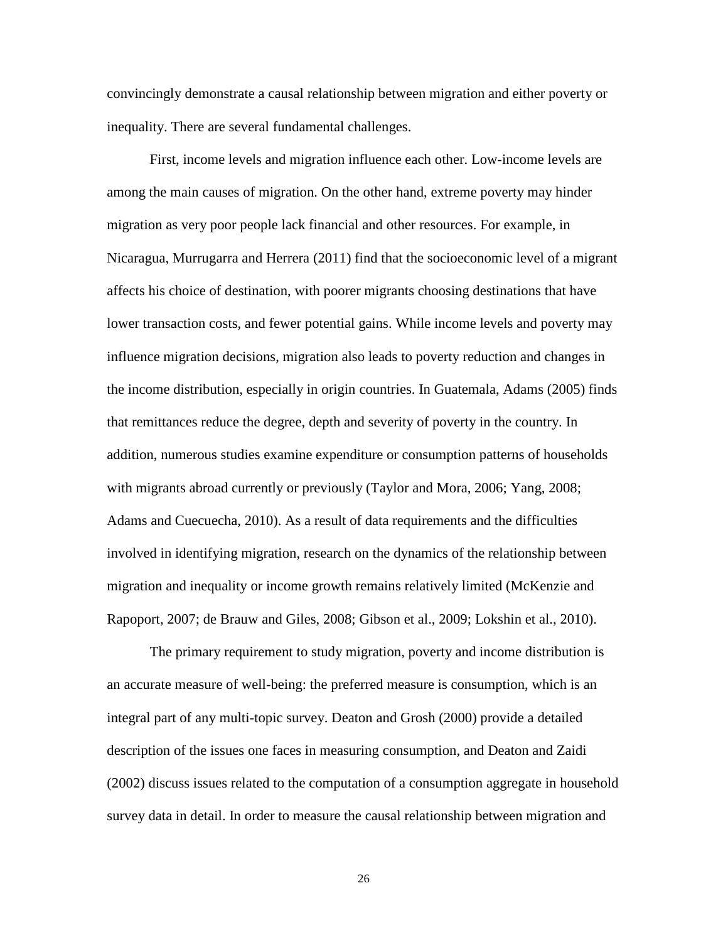convincingly demonstrate a causal relationship between migration and either poverty or inequality. There are several fundamental challenges.

First, income levels and migration influence each other. Low-income levels are among the main causes of migration. On the other hand, extreme poverty may hinder migration as very poor people lack financial and other resources. For example, in Nicaragua, Murrugarra and Herrera (2011) find that the socioeconomic level of a migrant affects his choice of destination, with poorer migrants choosing destinations that have lower transaction costs, and fewer potential gains. While income levels and poverty may influence migration decisions, migration also leads to poverty reduction and changes in the income distribution, especially in origin countries. In Guatemala, Adams (2005) finds that remittances reduce the degree, depth and severity of poverty in the country. In addition, numerous studies examine expenditure or consumption patterns of households with migrants abroad currently or previously (Taylor and Mora, 2006; Yang, 2008; Adams and Cuecuecha, 2010). As a result of data requirements and the difficulties involved in identifying migration, research on the dynamics of the relationship between migration and inequality or income growth remains relatively limited (McKenzie and Rapoport, 2007; de Brauw and Giles, 2008; Gibson et al., 2009; Lokshin et al., 2010).

The primary requirement to study migration, poverty and income distribution is an accurate measure of well-being: the preferred measure is consumption, which is an integral part of any multi-topic survey. Deaton and Grosh (2000) provide a detailed description of the issues one faces in measuring consumption, and Deaton and Zaidi (2002) discuss issues related to the computation of a consumption aggregate in household survey data in detail. In order to measure the causal relationship between migration and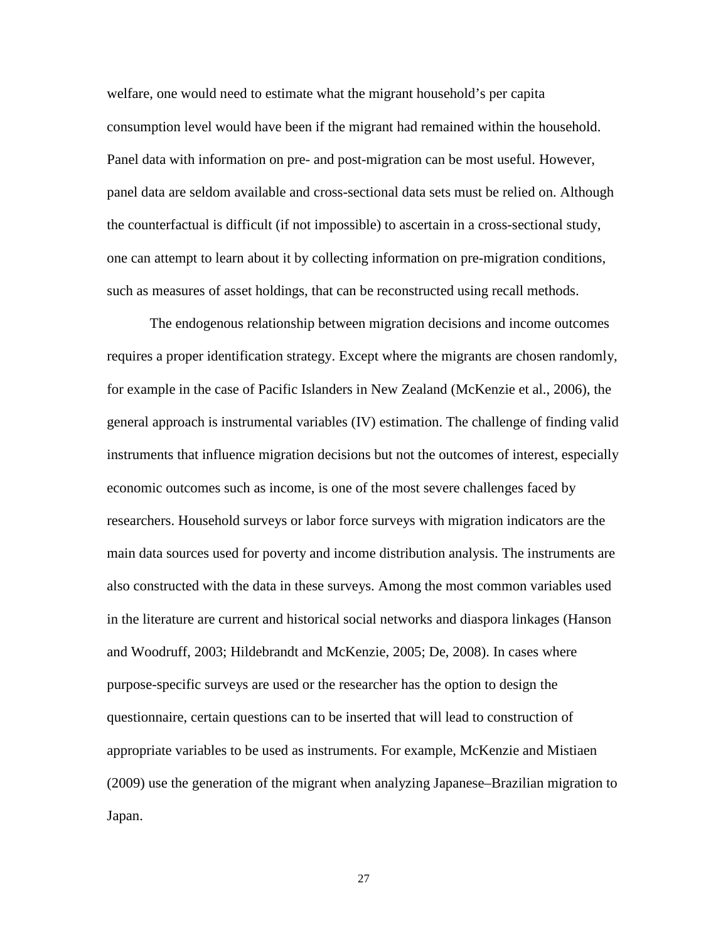welfare, one would need to estimate what the migrant household's per capita consumption level would have been if the migrant had remained within the household. Panel data with information on pre- and post-migration can be most useful. However, panel data are seldom available and cross-sectional data sets must be relied on. Although the counterfactual is difficult (if not impossible) to ascertain in a cross-sectional study, one can attempt to learn about it by collecting information on pre-migration conditions, such as measures of asset holdings, that can be reconstructed using recall methods.

The endogenous relationship between migration decisions and income outcomes requires a proper identification strategy. Except where the migrants are chosen randomly, for example in the case of Pacific Islanders in New Zealand (McKenzie et al., 2006), the general approach is instrumental variables (IV) estimation. The challenge of finding valid instruments that influence migration decisions but not the outcomes of interest, especially economic outcomes such as income, is one of the most severe challenges faced by researchers. Household surveys or labor force surveys with migration indicators are the main data sources used for poverty and income distribution analysis. The instruments are also constructed with the data in these surveys. Among the most common variables used in the literature are current and historical social networks and diaspora linkages (Hanson and Woodruff, 2003; Hildebrandt and McKenzie, 2005; De, 2008). In cases where purpose-specific surveys are used or the researcher has the option to design the questionnaire, certain questions can to be inserted that will lead to construction of appropriate variables to be used as instruments. For example, McKenzie and Mistiaen (2009) use the generation of the migrant when analyzing Japanese–Brazilian migration to Japan.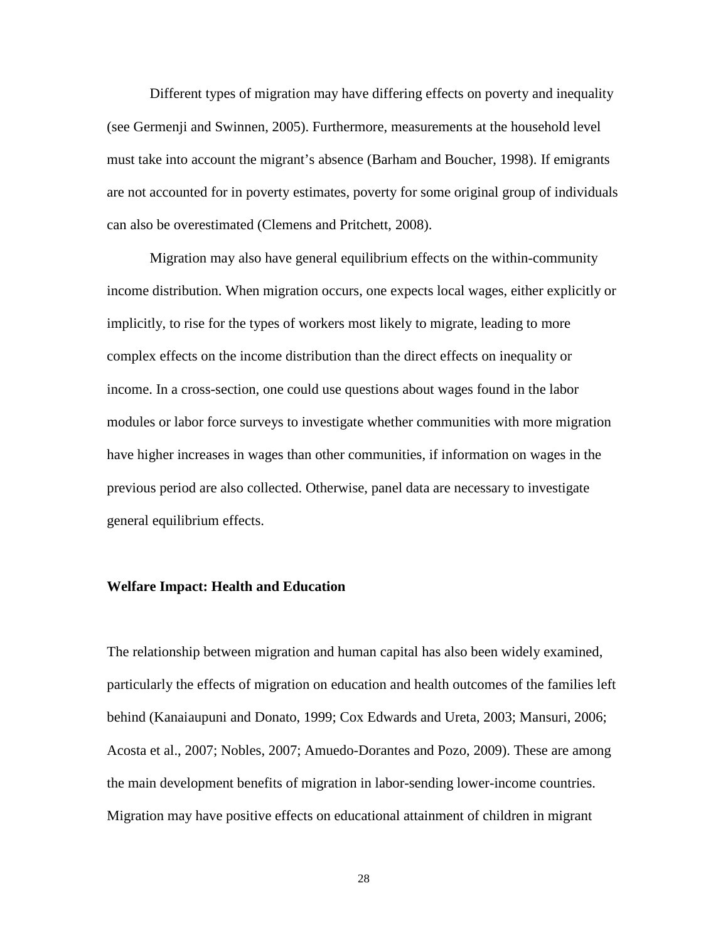Different types of migration may have differing effects on poverty and inequality (see Germenji and Swinnen, 2005). Furthermore, measurements at the household level must take into account the migrant's absence (Barham and Boucher, 1998). If emigrants are not accounted for in poverty estimates, poverty for some original group of individuals can also be overestimated (Clemens and Pritchett, 2008).

Migration may also have general equilibrium effects on the within-community income distribution. When migration occurs, one expects local wages, either explicitly or implicitly, to rise for the types of workers most likely to migrate, leading to more complex effects on the income distribution than the direct effects on inequality or income. In a cross-section, one could use questions about wages found in the labor modules or labor force surveys to investigate whether communities with more migration have higher increases in wages than other communities, if information on wages in the previous period are also collected. Otherwise, panel data are necessary to investigate general equilibrium effects.

#### **Welfare Impact: Health and Education**

The relationship between migration and human capital has also been widely examined, particularly the effects of migration on education and health outcomes of the families left behind (Kanaiaupuni and Donato, 1999; Cox Edwards and Ureta, 2003; Mansuri, 2006; Acosta et al., 2007; Nobles, 2007; Amuedo-Dorantes and Pozo, 2009). These are among the main development benefits of migration in labor-sending lower-income countries. Migration may have positive effects on educational attainment of children in migrant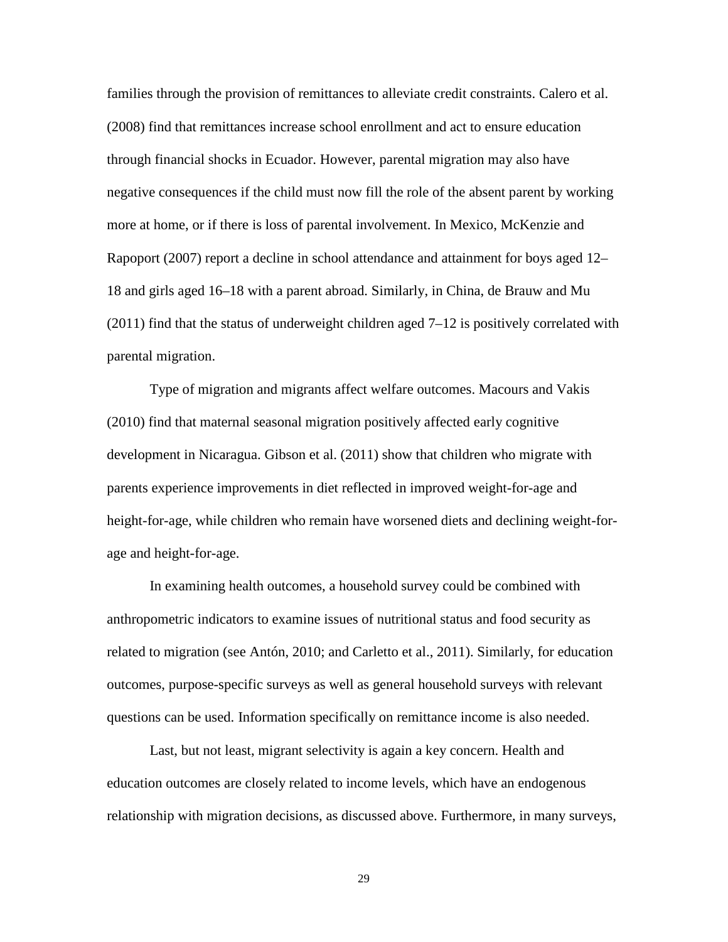families through the provision of remittances to alleviate credit constraints. Calero et al. (2008) find that remittances increase school enrollment and act to ensure education through financial shocks in Ecuador. However, parental migration may also have negative consequences if the child must now fill the role of the absent parent by working more at home, or if there is loss of parental involvement. In Mexico, McKenzie and Rapoport (2007) report a decline in school attendance and attainment for boys aged 12– 18 and girls aged 16–18 with a parent abroad. Similarly, in China, de Brauw and Mu  $(2011)$  find that the status of underweight children aged  $7-12$  is positively correlated with parental migration.

Type of migration and migrants affect welfare outcomes. Macours and Vakis (2010) find that maternal seasonal migration positively affected early cognitive development in Nicaragua. Gibson et al. (2011) show that children who migrate with parents experience improvements in diet reflected in improved weight-for-age and height-for-age, while children who remain have worsened diets and declining weight-forage and height-for-age.

In examining health outcomes, a household survey could be combined with anthropometric indicators to examine issues of nutritional status and food security as related to migration (see Antón, 2010; and Carletto et al., 2011). Similarly, for education outcomes, purpose-specific surveys as well as general household surveys with relevant questions can be used. Information specifically on remittance income is also needed.

Last, but not least, migrant selectivity is again a key concern. Health and education outcomes are closely related to income levels, which have an endogenous relationship with migration decisions, as discussed above. Furthermore, in many surveys,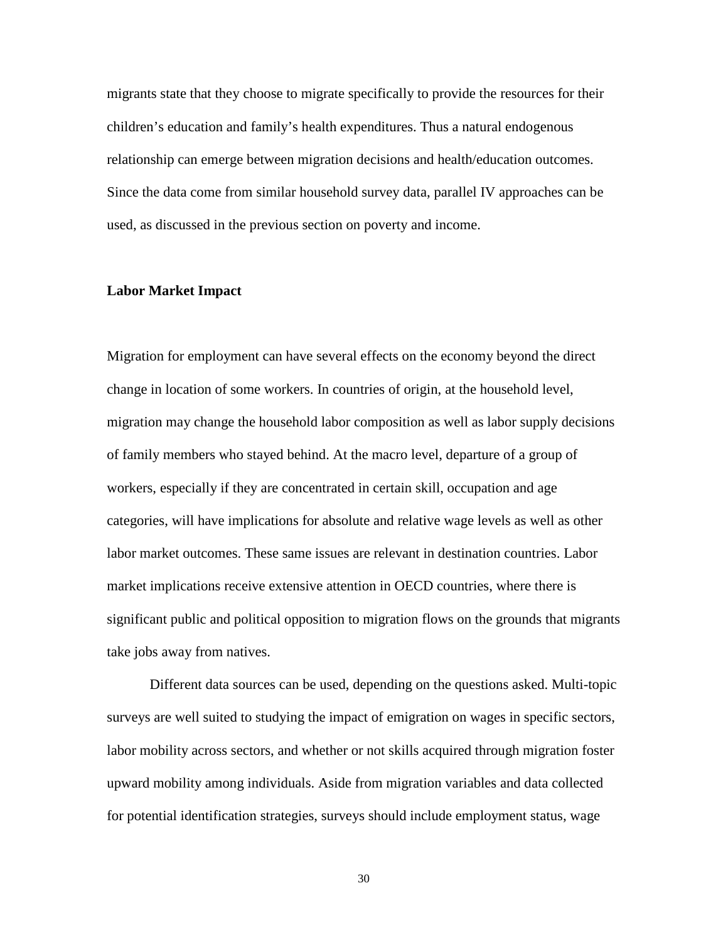migrants state that they choose to migrate specifically to provide the resources for their children's education and family's health expenditures. Thus a natural endogenous relationship can emerge between migration decisions and health/education outcomes. Since the data come from similar household survey data, parallel IV approaches can be used, as discussed in the previous section on poverty and income.

#### **Labor Market Impact**

Migration for employment can have several effects on the economy beyond the direct change in location of some workers. In countries of origin, at the household level, migration may change the household labor composition as well as labor supply decisions of family members who stayed behind. At the macro level, departure of a group of workers, especially if they are concentrated in certain skill, occupation and age categories, will have implications for absolute and relative wage levels as well as other labor market outcomes. These same issues are relevant in destination countries. Labor market implications receive extensive attention in OECD countries, where there is significant public and political opposition to migration flows on the grounds that migrants take jobs away from natives.

Different data sources can be used, depending on the questions asked. Multi-topic surveys are well suited to studying the impact of emigration on wages in specific sectors, labor mobility across sectors, and whether or not skills acquired through migration foster upward mobility among individuals. Aside from migration variables and data collected for potential identification strategies, surveys should include employment status, wage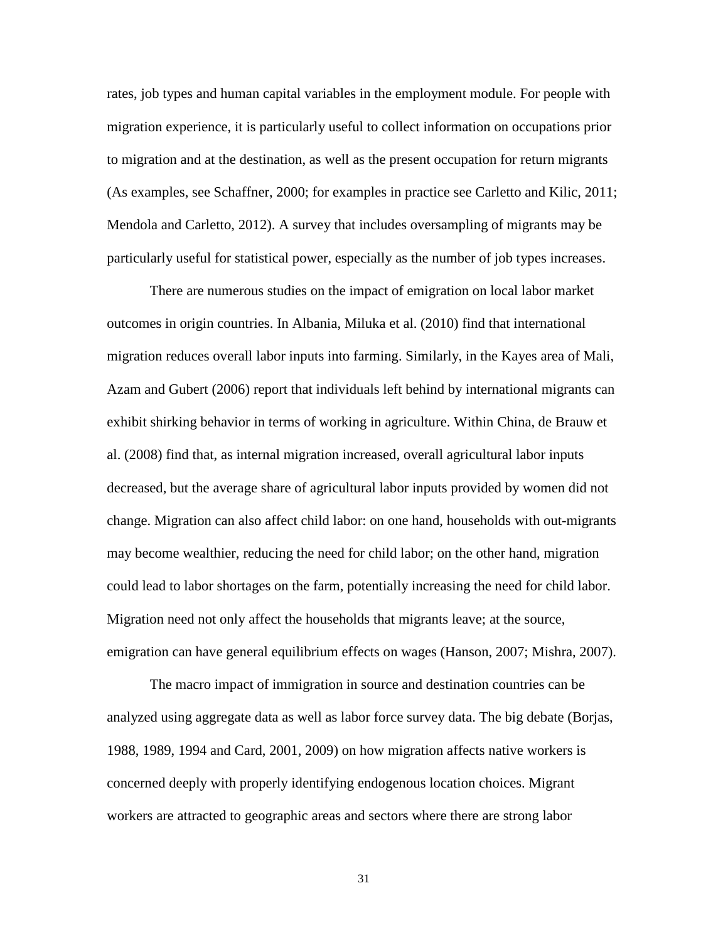rates, job types and human capital variables in the employment module. For people with migration experience, it is particularly useful to collect information on occupations prior to migration and at the destination, as well as the present occupation for return migrants (As examples, see Schaffner, 2000; for examples in practice see Carletto and Kilic, 2011; Mendola and Carletto, 2012). A survey that includes oversampling of migrants may be particularly useful for statistical power, especially as the number of job types increases.

There are numerous studies on the impact of emigration on local labor market outcomes in origin countries. In Albania, Miluka et al. (2010) find that international migration reduces overall labor inputs into farming. Similarly, in the Kayes area of Mali, Azam and Gubert (2006) report that individuals left behind by international migrants can exhibit shirking behavior in terms of working in agriculture. Within China, de Brauw et al. (2008) find that, as internal migration increased, overall agricultural labor inputs decreased, but the average share of agricultural labor inputs provided by women did not change. Migration can also affect child labor: on one hand, households with out-migrants may become wealthier, reducing the need for child labor; on the other hand, migration could lead to labor shortages on the farm, potentially increasing the need for child labor. Migration need not only affect the households that migrants leave; at the source, emigration can have general equilibrium effects on wages (Hanson, 2007; Mishra, 2007).

The macro impact of immigration in source and destination countries can be analyzed using aggregate data as well as labor force survey data. The big debate (Borjas, 1988, 1989, 1994 and Card, 2001, 2009) on how migration affects native workers is concerned deeply with properly identifying endogenous location choices. Migrant workers are attracted to geographic areas and sectors where there are strong labor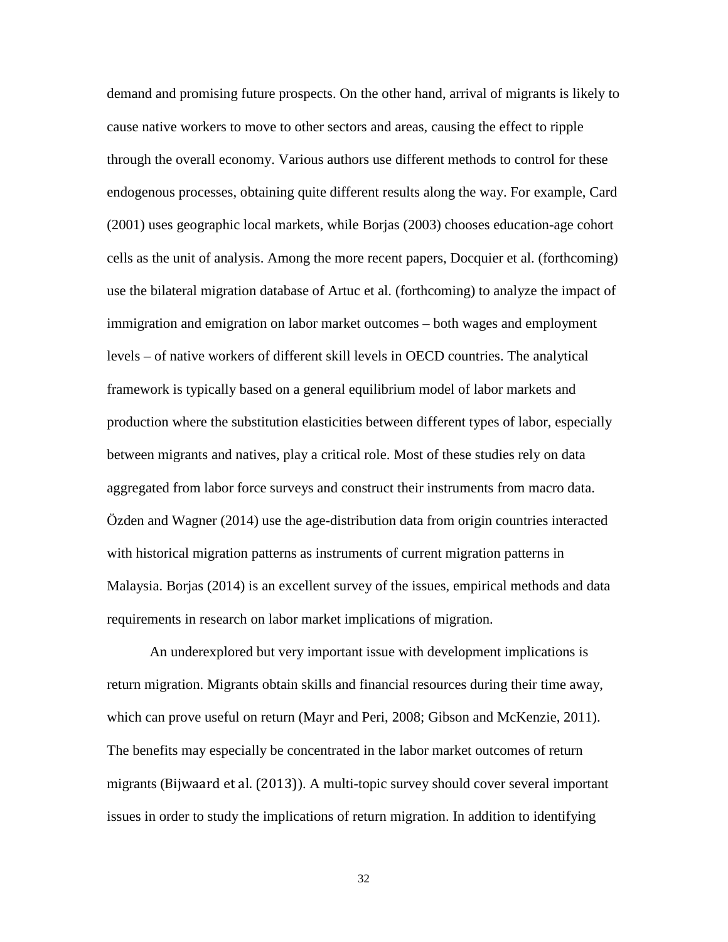demand and promising future prospects. On the other hand, arrival of migrants is likely to cause native workers to move to other sectors and areas, causing the effect to ripple through the overall economy. Various authors use different methods to control for these endogenous processes, obtaining quite different results along the way. For example, Card (2001) uses geographic local markets, while Borjas (2003) chooses education-age cohort cells as the unit of analysis. Among the more recent papers, Docquier et al. (forthcoming) use the bilateral migration database of Artuc et al. (forthcoming) to analyze the impact of immigration and emigration on labor market outcomes – both wages and employment levels – of native workers of different skill levels in OECD countries. The analytical framework is typically based on a general equilibrium model of labor markets and production where the substitution elasticities between different types of labor, especially between migrants and natives, play a critical role. Most of these studies rely on data aggregated from labor force surveys and construct their instruments from macro data. Özden and Wagner (2014) use the age-distribution data from origin countries interacted with historical migration patterns as instruments of current migration patterns in Malaysia. Borjas (2014) is an excellent survey of the issues, empirical methods and data requirements in research on labor market implications of migration.

An underexplored but very important issue with development implications is return migration. Migrants obtain skills and financial resources during their time away, which can prove useful on return (Mayr and Peri, 2008; Gibson and McKenzie, 2011). The benefits may especially be concentrated in the labor market outcomes of return migrants (Bijwaard et al. (2013)). A multi-topic survey should cover several important issues in order to study the implications of return migration. In addition to identifying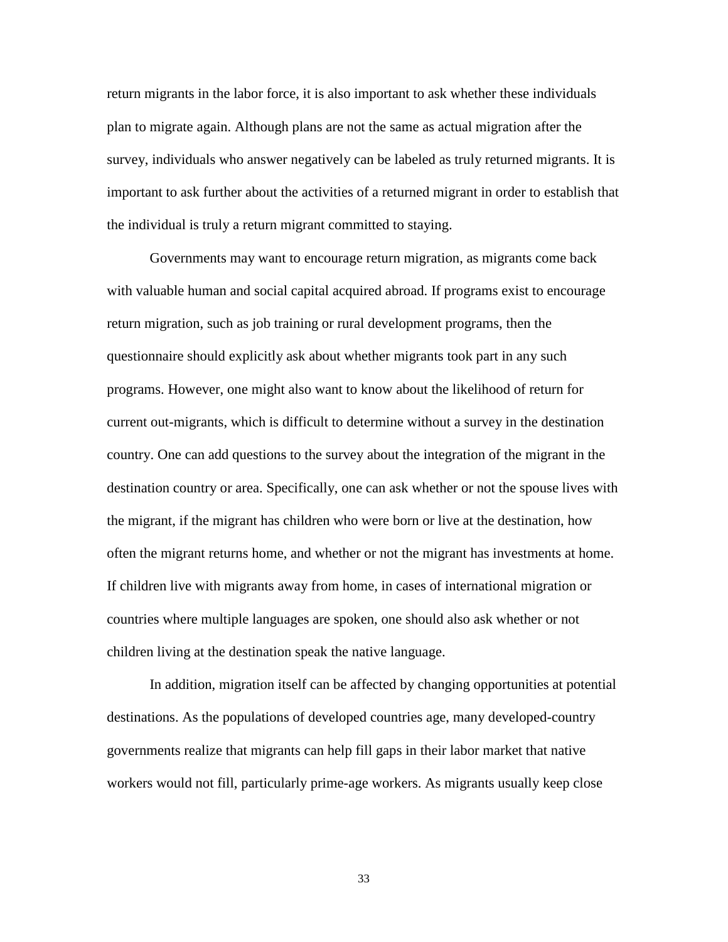return migrants in the labor force, it is also important to ask whether these individuals plan to migrate again. Although plans are not the same as actual migration after the survey, individuals who answer negatively can be labeled as truly returned migrants. It is important to ask further about the activities of a returned migrant in order to establish that the individual is truly a return migrant committed to staying.

Governments may want to encourage return migration, as migrants come back with valuable human and social capital acquired abroad. If programs exist to encourage return migration, such as job training or rural development programs, then the questionnaire should explicitly ask about whether migrants took part in any such programs. However, one might also want to know about the likelihood of return for current out-migrants, which is difficult to determine without a survey in the destination country. One can add questions to the survey about the integration of the migrant in the destination country or area. Specifically, one can ask whether or not the spouse lives with the migrant, if the migrant has children who were born or live at the destination, how often the migrant returns home, and whether or not the migrant has investments at home. If children live with migrants away from home, in cases of international migration or countries where multiple languages are spoken, one should also ask whether or not children living at the destination speak the native language.

In addition, migration itself can be affected by changing opportunities at potential destinations. As the populations of developed countries age, many developed-country governments realize that migrants can help fill gaps in their labor market that native workers would not fill, particularly prime-age workers. As migrants usually keep close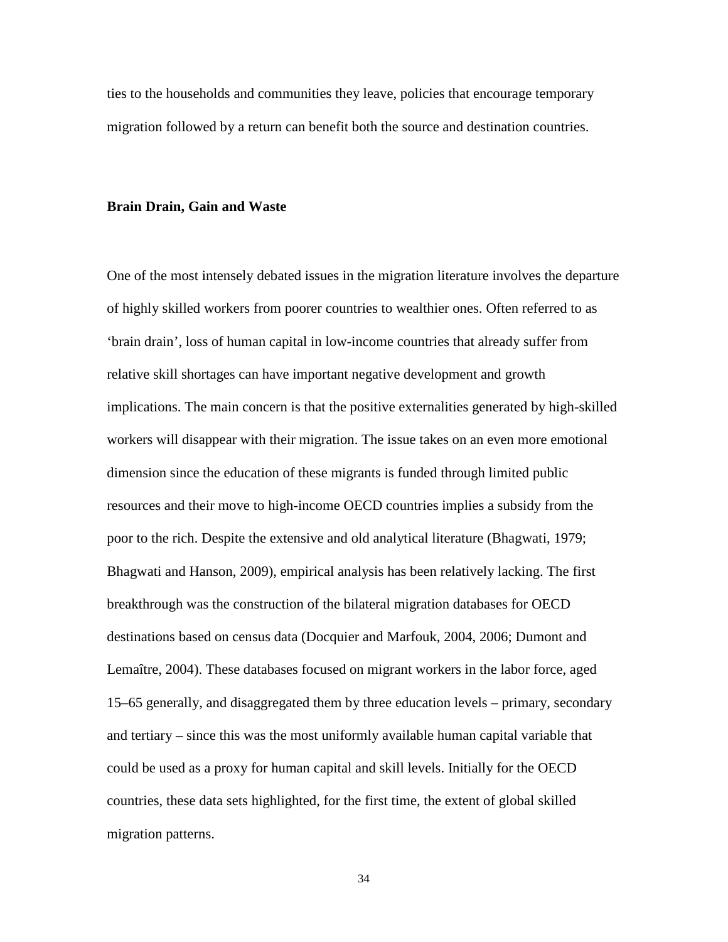ties to the households and communities they leave, policies that encourage temporary migration followed by a return can benefit both the source and destination countries.

#### **Brain Drain, Gain and Waste**

One of the most intensely debated issues in the migration literature involves the departure of highly skilled workers from poorer countries to wealthier ones. Often referred to as 'brain drain', loss of human capital in low-income countries that already suffer from relative skill shortages can have important negative development and growth implications. The main concern is that the positive externalities generated by high-skilled workers will disappear with their migration. The issue takes on an even more emotional dimension since the education of these migrants is funded through limited public resources and their move to high-income OECD countries implies a subsidy from the poor to the rich. Despite the extensive and old analytical literature (Bhagwati, 1979; Bhagwati and Hanson, 2009), empirical analysis has been relatively lacking. The first breakthrough was the construction of the bilateral migration databases for OECD destinations based on census data (Docquier and Marfouk, 2004, 2006; Dumont and Lemaître, 2004). These databases focused on migrant workers in the labor force, aged 15–65 generally, and disaggregated them by three education levels – primary, secondary and tertiary – since this was the most uniformly available human capital variable that could be used as a proxy for human capital and skill levels. Initially for the OECD countries, these data sets highlighted, for the first time, the extent of global skilled migration patterns.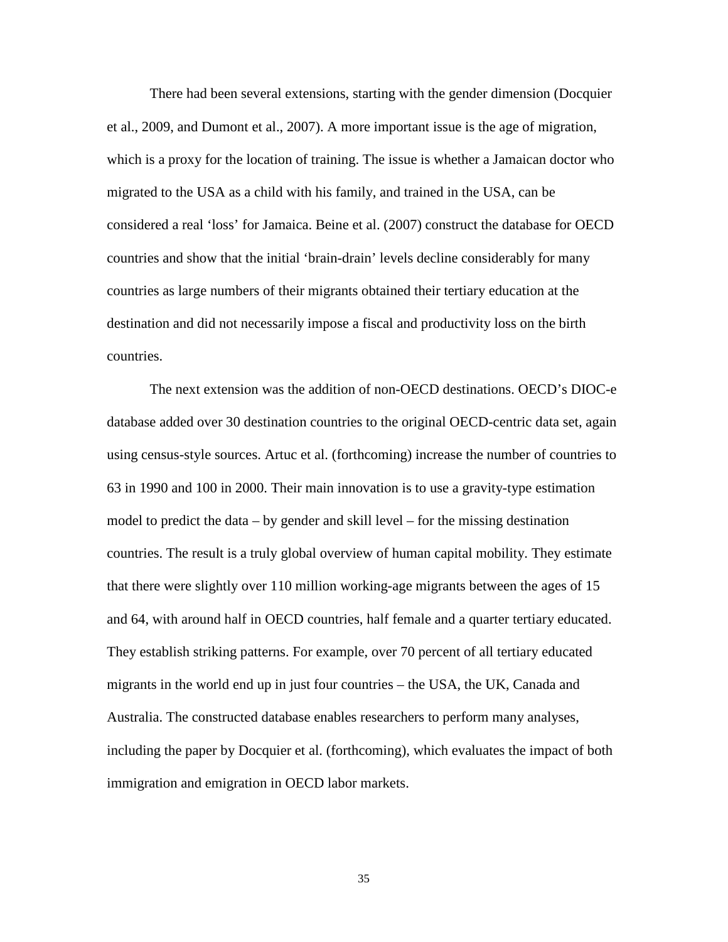There had been several extensions, starting with the gender dimension (Docquier et al., 2009, and Dumont et al., 2007). A more important issue is the age of migration, which is a proxy for the location of training. The issue is whether a Jamaican doctor who migrated to the USA as a child with his family, and trained in the USA, can be considered a real 'loss' for Jamaica. Beine et al. (2007) construct the database for OECD countries and show that the initial 'brain-drain' levels decline considerably for many countries as large numbers of their migrants obtained their tertiary education at the destination and did not necessarily impose a fiscal and productivity loss on the birth countries.

The next extension was the addition of non-OECD destinations. OECD's DIOC-e database added over 30 destination countries to the original OECD-centric data set, again using census-style sources. Artuc et al. (forthcoming) increase the number of countries to 63 in 1990 and 100 in 2000. Their main innovation is to use a gravity-type estimation model to predict the data – by gender and skill level – for the missing destination countries. The result is a truly global overview of human capital mobility. They estimate that there were slightly over 110 million working-age migrants between the ages of 15 and 64, with around half in OECD countries, half female and a quarter tertiary educated. They establish striking patterns. For example, over 70 percent of all tertiary educated migrants in the world end up in just four countries – the USA, the UK, Canada and Australia. The constructed database enables researchers to perform many analyses, including the paper by Docquier et al. (forthcoming), which evaluates the impact of both immigration and emigration in OECD labor markets.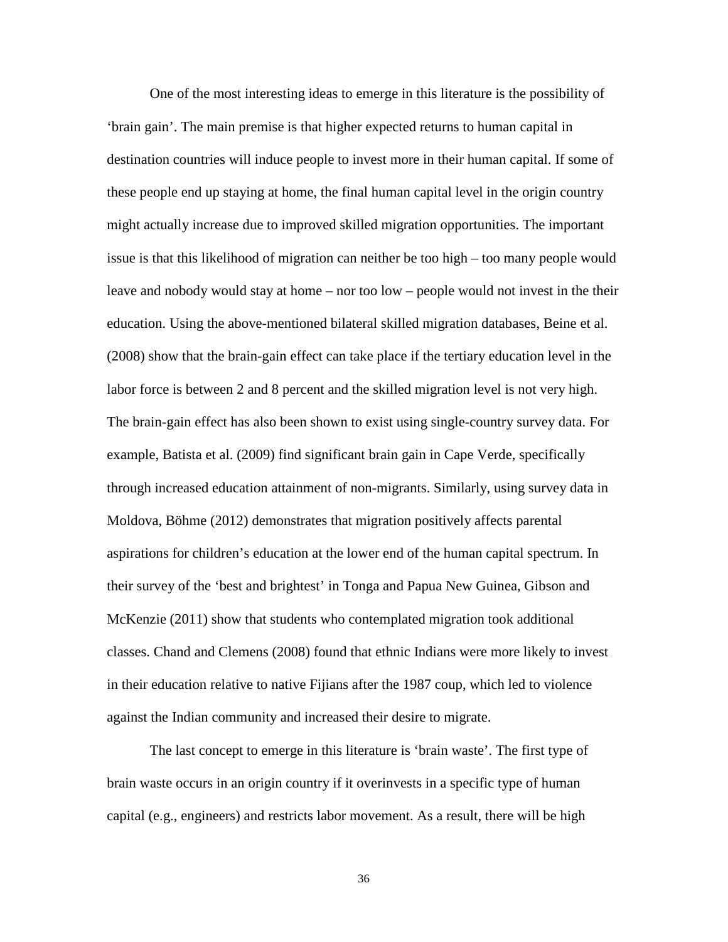One of the most interesting ideas to emerge in this literature is the possibility of 'brain gain'. The main premise is that higher expected returns to human capital in destination countries will induce people to invest more in their human capital. If some of these people end up staying at home, the final human capital level in the origin country might actually increase due to improved skilled migration opportunities. The important issue is that this likelihood of migration can neither be too high – too many people would leave and nobody would stay at home – nor too low – people would not invest in the their education. Using the above-mentioned bilateral skilled migration databases, Beine et al. (2008) show that the brain-gain effect can take place if the tertiary education level in the labor force is between 2 and 8 percent and the skilled migration level is not very high. The brain-gain effect has also been shown to exist using single-country survey data. For example, Batista et al. (2009) find significant brain gain in Cape Verde, specifically through increased education attainment of non-migrants. Similarly, using survey data in Moldova, Böhme (2012) demonstrates that migration positively affects parental aspirations for children's education at the lower end of the human capital spectrum. In their survey of the 'best and brightest' in Tonga and Papua New Guinea, Gibson and McKenzie (2011) show that students who contemplated migration took additional classes. Chand and Clemens (2008) found that ethnic Indians were more likely to invest in their education relative to native Fijians after the 1987 coup, which led to violence against the Indian community and increased their desire to migrate.

The last concept to emerge in this literature is 'brain waste'. The first type of brain waste occurs in an origin country if it overinvests in a specific type of human capital (e.g., engineers) and restricts labor movement. As a result, there will be high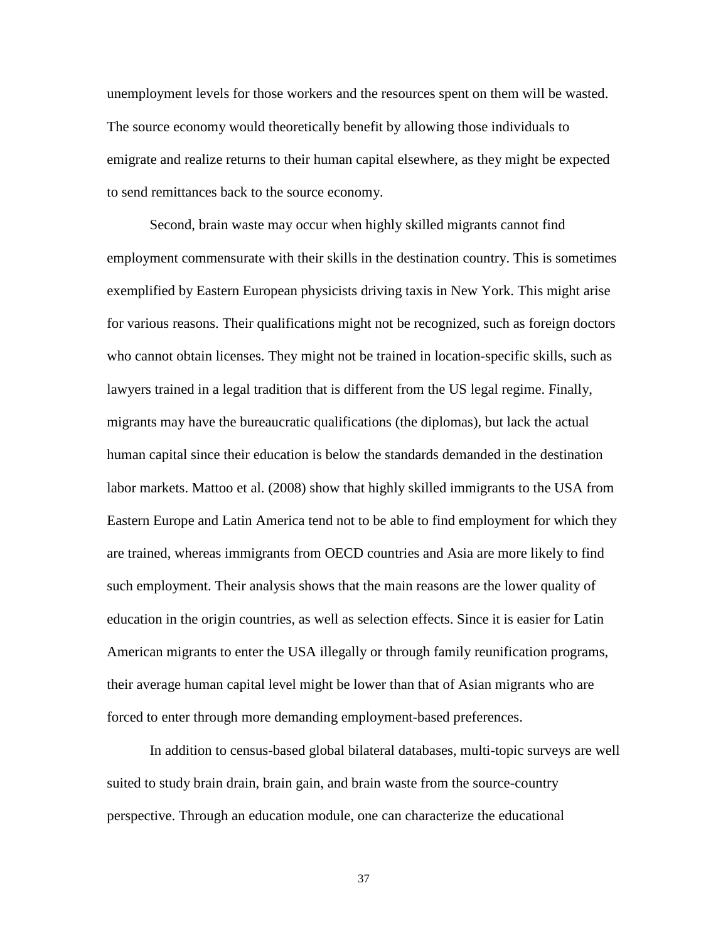unemployment levels for those workers and the resources spent on them will be wasted. The source economy would theoretically benefit by allowing those individuals to emigrate and realize returns to their human capital elsewhere, as they might be expected to send remittances back to the source economy.

Second, brain waste may occur when highly skilled migrants cannot find employment commensurate with their skills in the destination country. This is sometimes exemplified by Eastern European physicists driving taxis in New York. This might arise for various reasons. Their qualifications might not be recognized, such as foreign doctors who cannot obtain licenses. They might not be trained in location-specific skills, such as lawyers trained in a legal tradition that is different from the US legal regime. Finally, migrants may have the bureaucratic qualifications (the diplomas), but lack the actual human capital since their education is below the standards demanded in the destination labor markets. Mattoo et al. (2008) show that highly skilled immigrants to the USA from Eastern Europe and Latin America tend not to be able to find employment for which they are trained, whereas immigrants from OECD countries and Asia are more likely to find such employment. Their analysis shows that the main reasons are the lower quality of education in the origin countries, as well as selection effects. Since it is easier for Latin American migrants to enter the USA illegally or through family reunification programs, their average human capital level might be lower than that of Asian migrants who are forced to enter through more demanding employment-based preferences.

In addition to census-based global bilateral databases, multi-topic surveys are well suited to study brain drain, brain gain, and brain waste from the source-country perspective. Through an education module, one can characterize the educational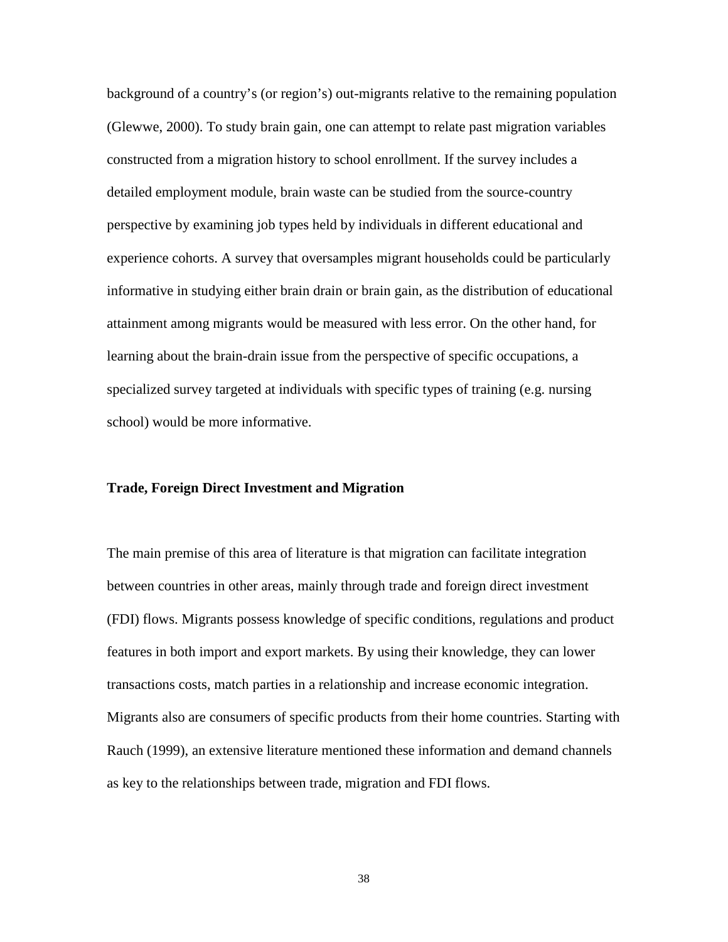background of a country's (or region's) out-migrants relative to the remaining population (Glewwe, 2000). To study brain gain, one can attempt to relate past migration variables constructed from a migration history to school enrollment. If the survey includes a detailed employment module, brain waste can be studied from the source-country perspective by examining job types held by individuals in different educational and experience cohorts. A survey that oversamples migrant households could be particularly informative in studying either brain drain or brain gain, as the distribution of educational attainment among migrants would be measured with less error. On the other hand, for learning about the brain-drain issue from the perspective of specific occupations, a specialized survey targeted at individuals with specific types of training (e.g. nursing school) would be more informative.

### **Trade, Foreign Direct Investment and Migration**

The main premise of this area of literature is that migration can facilitate integration between countries in other areas, mainly through trade and foreign direct investment (FDI) flows. Migrants possess knowledge of specific conditions, regulations and product features in both import and export markets. By using their knowledge, they can lower transactions costs, match parties in a relationship and increase economic integration. Migrants also are consumers of specific products from their home countries. Starting with Rauch (1999), an extensive literature mentioned these information and demand channels as key to the relationships between trade, migration and FDI flows.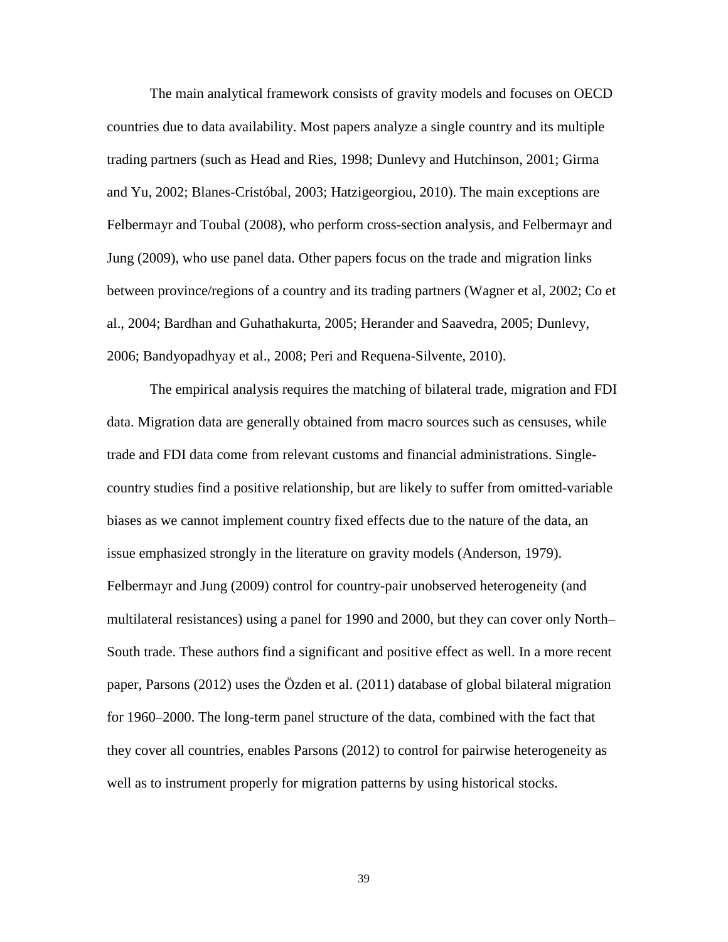The main analytical framework consists of gravity models and focuses on OECD countries due to data availability. Most papers analyze a single country and its multiple trading partners (such as Head and Ries, 1998; Dunlevy and Hutchinson, 2001; Girma and Yu, 2002; Blanes-Cristóbal, 2003; Hatzigeorgiou, 2010). The main exceptions are Felbermayr and Toubal (2008), who perform cross-section analysis, and Felbermayr and Jung (2009), who use panel data. Other papers focus on the trade and migration links between province/regions of a country and its trading partners (Wagner et al, 2002; Co et al., 2004; Bardhan and Guhathakurta, 2005; Herander and Saavedra, 2005; Dunlevy, 2006; Bandyopadhyay et al., 2008; Peri and Requena-Silvente, 2010).

The empirical analysis requires the matching of bilateral trade, migration and FDI data. Migration data are generally obtained from macro sources such as censuses, while trade and FDI data come from relevant customs and financial administrations. Singlecountry studies find a positive relationship, but are likely to suffer from omitted-variable biases as we cannot implement country fixed effects due to the nature of the data, an issue emphasized strongly in the literature on gravity models (Anderson, 1979). Felbermayr and Jung (2009) control for country-pair unobserved heterogeneity (and multilateral resistances) using a panel for 1990 and 2000, but they can cover only North– South trade. These authors find a significant and positive effect as well. In a more recent paper, Parsons (2012) uses the Özden et al. (2011) database of global bilateral migration for 1960–2000. The long-term panel structure of the data, combined with the fact that they cover all countries, enables Parsons (2012) to control for pairwise heterogeneity as well as to instrument properly for migration patterns by using historical stocks.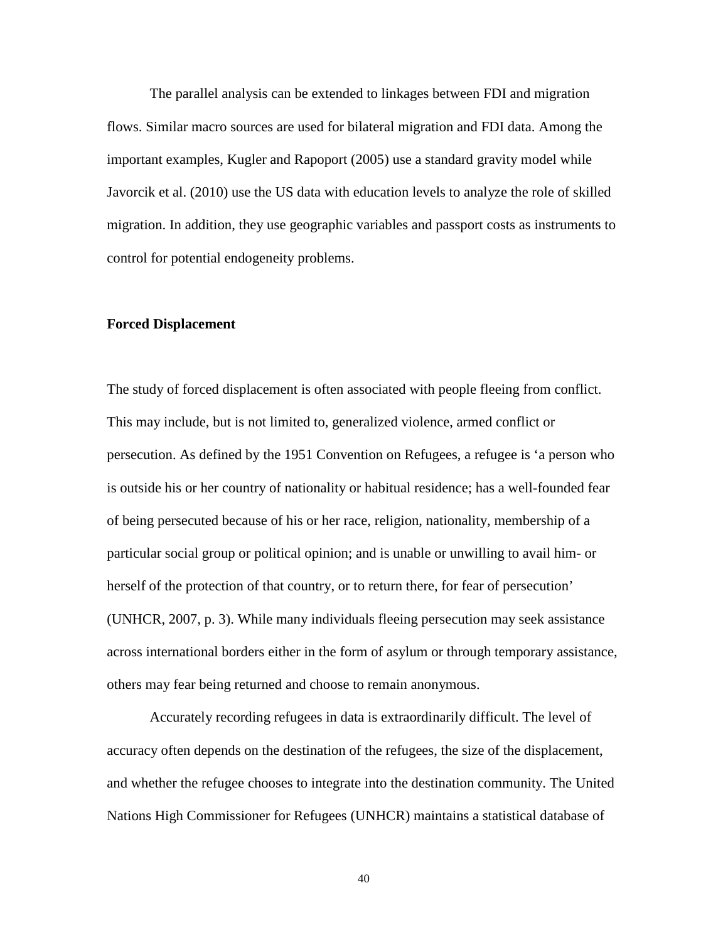The parallel analysis can be extended to linkages between FDI and migration flows. Similar macro sources are used for bilateral migration and FDI data. Among the important examples, Kugler and Rapoport (2005) use a standard gravity model while Javorcik et al. (2010) use the US data with education levels to analyze the role of skilled migration. In addition, they use geographic variables and passport costs as instruments to control for potential endogeneity problems.

#### **Forced Displacement**

The study of forced displacement is often associated with people fleeing from conflict. This may include, but is not limited to, generalized violence, armed conflict or persecution. As defined by the 1951 Convention on Refugees, a refugee is 'a person who is outside his or her country of nationality or habitual residence; has a well-founded fear of being persecuted because of his or her race, religion, nationality, membership of a particular social group or political opinion; and is unable or unwilling to avail him- or herself of the protection of that country, or to return there, for fear of persecution' (UNHCR, 2007, p. 3). While many individuals fleeing persecution may seek assistance across international borders either in the form of asylum or through temporary assistance, others may fear being returned and choose to remain anonymous.

Accurately recording refugees in data is extraordinarily difficult. The level of accuracy often depends on the destination of the refugees, the size of the displacement, and whether the refugee chooses to integrate into the destination community. The United Nations High Commissioner for Refugees (UNHCR) maintains a statistical database of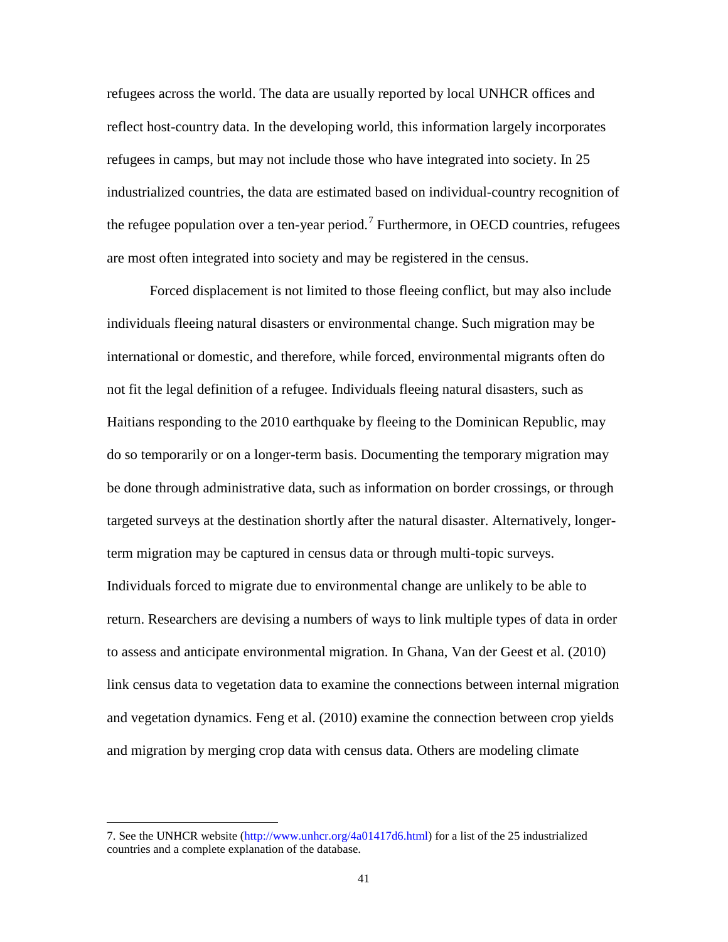refugees across the world. The data are usually reported by local UNHCR offices and reflect host-country data. In the developing world, this information largely incorporates refugees in camps, but may not include those who have integrated into society. In 25 industrialized countries, the data are estimated based on individual-country recognition of the refugee population over a ten-year period.<sup>[7](#page-24-0)</sup> Furthermore, in OECD countries, refugees are most often integrated into society and may be registered in the census.

Forced displacement is not limited to those fleeing conflict, but may also include individuals fleeing natural disasters or environmental change. Such migration may be international or domestic, and therefore, while forced, environmental migrants often do not fit the legal definition of a refugee. Individuals fleeing natural disasters, such as Haitians responding to the 2010 earthquake by fleeing to the Dominican Republic, may do so temporarily or on a longer-term basis. Documenting the temporary migration may be done through administrative data, such as information on border crossings, or through targeted surveys at the destination shortly after the natural disaster. Alternatively, longerterm migration may be captured in census data or through multi-topic surveys. Individuals forced to migrate due to environmental change are unlikely to be able to return. Researchers are devising a numbers of ways to link multiple types of data in order to assess and anticipate environmental migration. In Ghana, Van der Geest et al. (2010) link census data to vegetation data to examine the connections between internal migration and vegetation dynamics. Feng et al. (2010) examine the connection between crop yields and migration by merging crop data with census data. Others are modeling climate

7. See the UNHCR website [\(http://www.unhcr.org/4a01417d6.html\)](http://www.unhcr.org/4a01417d6.html) for a list of the 25 industrialized countries and a complete explanation of the database.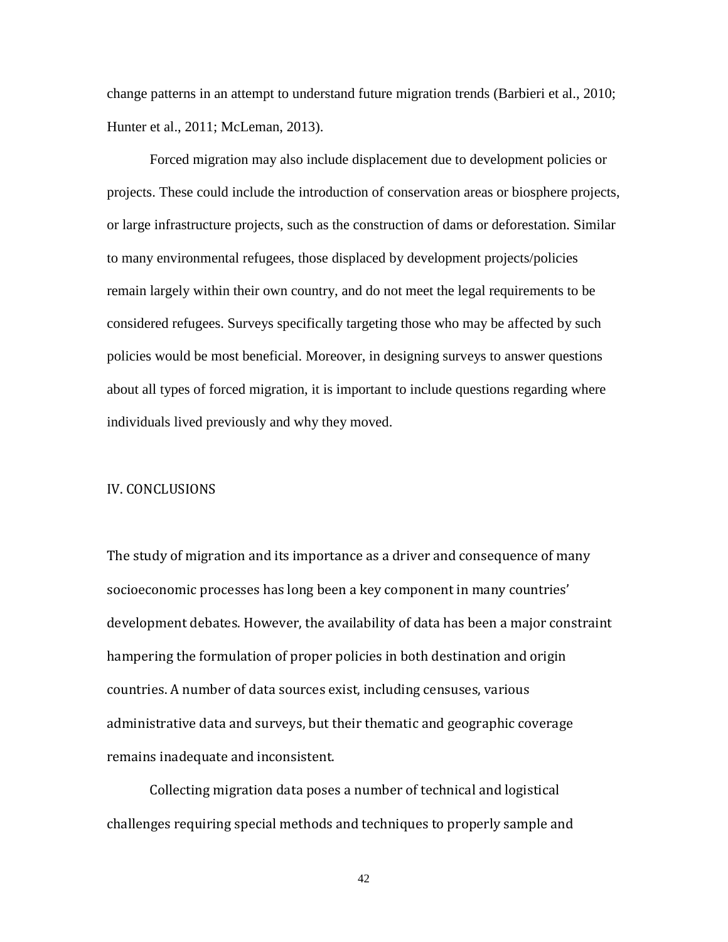change patterns in an attempt to understand future migration trends (Barbieri et al., 2010; Hunter et al., 2011; McLeman, 2013).

Forced migration may also include displacement due to development policies or projects. These could include the introduction of conservation areas or biosphere projects, or large infrastructure projects, such as the construction of dams or deforestation. Similar to many environmental refugees, those displaced by development projects/policies remain largely within their own country, and do not meet the legal requirements to be considered refugees. Surveys specifically targeting those who may be affected by such policies would be most beneficial. Moreover, in designing surveys to answer questions about all types of forced migration, it is important to include questions regarding where individuals lived previously and why they moved.

#### IV. CONCLUSIONS

The study of migration and its importance as a driver and consequence of many socioeconomic processes has long been a key component in many countries' development debates. However, the availability of data has been a major constraint hampering the formulation of proper policies in both destination and origin countries. A number of data sources exist, including censuses, various administrative data and surveys, but their thematic and geographic coverage remains inadequate and inconsistent.

Collecting migration data poses a number of technical and logistical challenges requiring special methods and techniques to properly sample and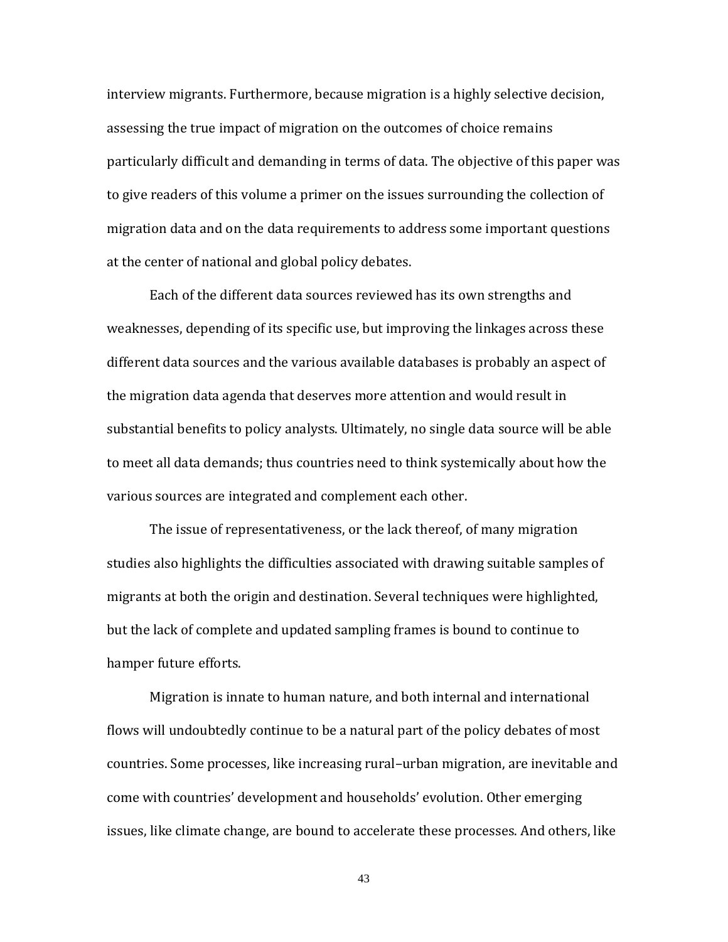interview migrants. Furthermore, because migration is a highly selective decision, assessing the true impact of migration on the outcomes of choice remains particularly difficult and demanding in terms of data. The objective of this paper was to give readers of this volume a primer on the issues surrounding the collection of migration data and on the data requirements to address some important questions at the center of national and global policy debates.

Each of the different data sources reviewed has its own strengths and weaknesses, depending of its specific use, but improving the linkages across these different data sources and the various available databases is probably an aspect of the migration data agenda that deserves more attention and would result in substantial benefits to policy analysts. Ultimately, no single data source will be able to meet all data demands; thus countries need to think systemically about how the various sources are integrated and complement each other.

The issue of representativeness, or the lack thereof, of many migration studies also highlights the difficulties associated with drawing suitable samples of migrants at both the origin and destination. Several techniques were highlighted, but the lack of complete and updated sampling frames is bound to continue to hamper future efforts.

Migration is innate to human nature, and both internal and international flows will undoubtedly continue to be a natural part of the policy debates of most countries. Some processes, like increasing rural–urban migration, are inevitable and come with countries' development and households' evolution. Other emerging issues, like climate change, are bound to accelerate these processes. And others, like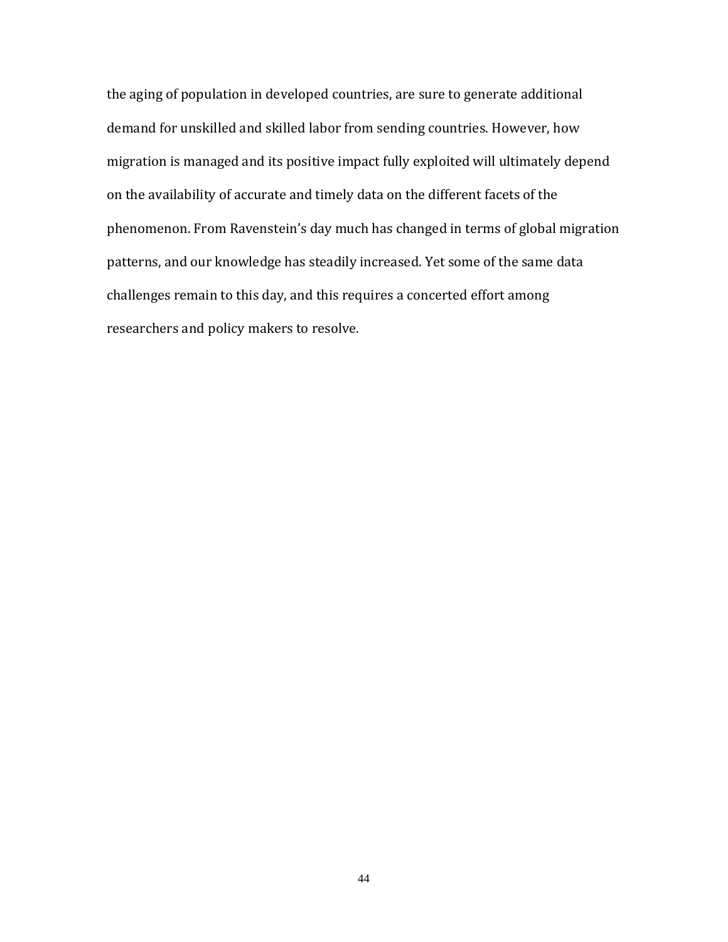the aging of population in developed countries, are sure to generate additional demand for unskilled and skilled labor from sending countries. However, how migration is managed and its positive impact fully exploited will ultimately depend on the availability of accurate and timely data on the different facets of the phenomenon. From Ravenstein's day much has changed in terms of global migration patterns, and our knowledge has steadily increased. Yet some of the same data challenges remain to this day, and this requires a concerted effort among researchers and policy makers to resolve.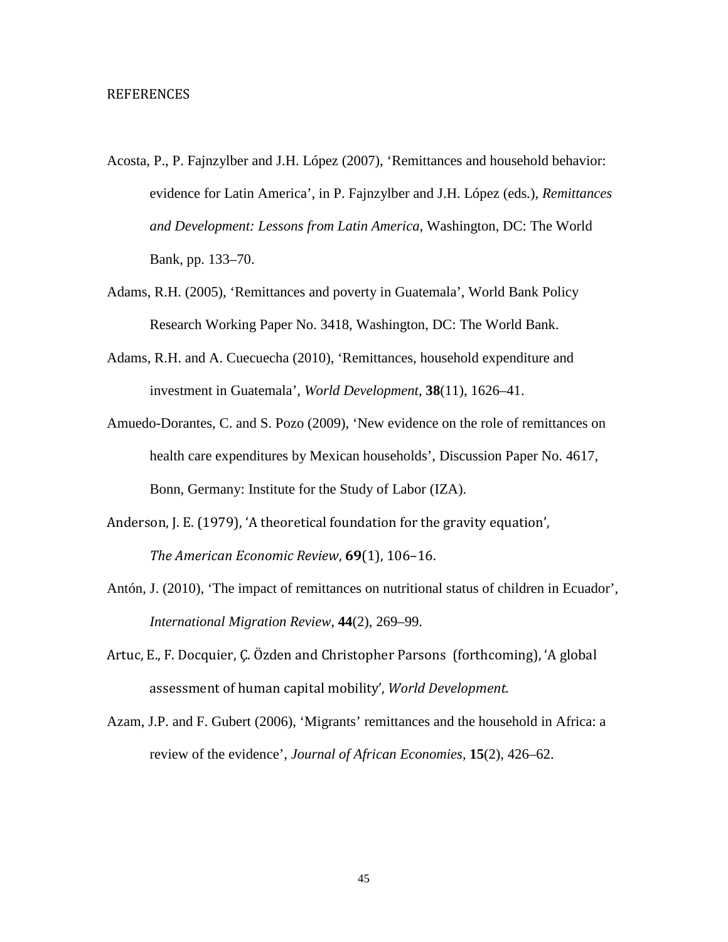#### **REFERENCES**

- Acosta, P., P. Fajnzylber and J.H. López (2007), 'Remittances and household behavior: evidence for Latin America', in P. Fajnzylber and J.H. López (eds*.*), *Remittances and Development: Lessons from Latin America*, Washington, DC: The World Bank, pp. 133–70.
- Adams, R.H. (2005), 'Remittances and poverty in Guatemala', World Bank Policy Research Working Paper No. 3418, Washington, DC: The World Bank.
- Adams, R.H. and A. Cuecuecha (2010), 'Remittances, household expenditure and investment in Guatemala', *World Development*, **38**(11), 1626–41.
- Amuedo-Dorantes, C. and S. Pozo (2009), 'New evidence on the role of remittances on health care expenditures by Mexican households', Discussion Paper No. 4617, Bonn, Germany: Institute for the Study of Labor (IZA).
- Anderson, J. E. (1979), 'A theoretical foundation for the gravity equation', *The American Economic Review*, **69**(1), 106–16.
- Antón, J. (2010), 'The impact of remittances on nutritional status of children in Ecuador', *International Migration Review*, **44**(2), 269–99.
- Artuc, E., F. Docquier, Ç. Özden and Christopher Parsons (forthcoming), 'A global assessment of human capital mobility', *World Development.*
- Azam, J.P. and F. Gubert (2006), 'Migrants' remittances and the household in Africa: a review of the evidence', *Journal of African Economies*, **15**(2), 426–62.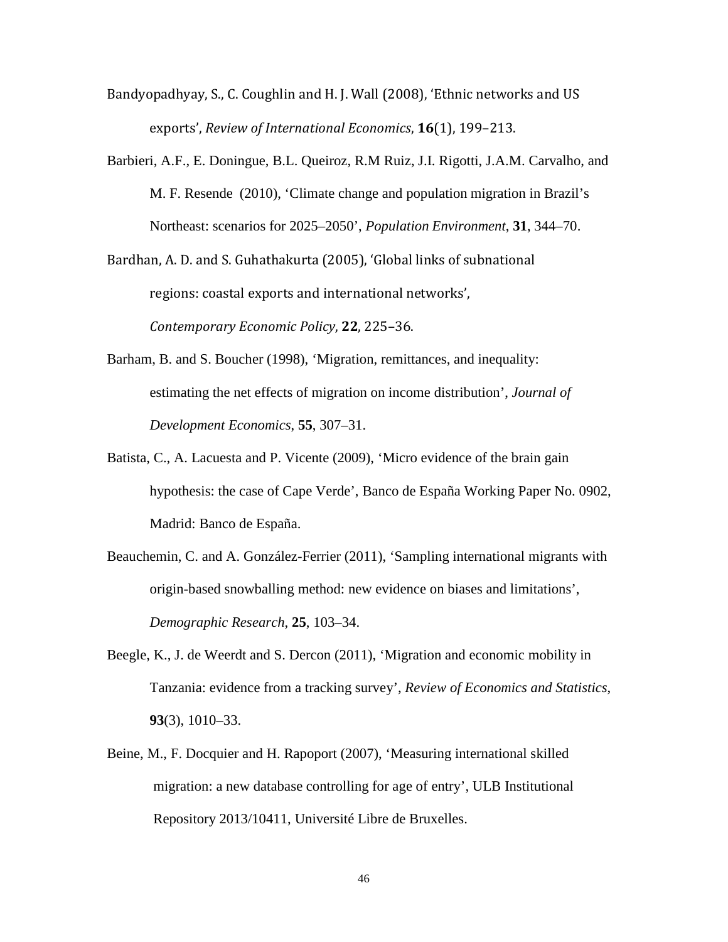Bandyopadhyay, S., C. Coughlin and H. J. Wall (2008), 'Ethnic networks and US exports', *Review of International Economics*, **16**(1), 199–213.

Barbieri, A.F., E. Doningue, B.L. Queiroz, R.M Ruiz, J.I. Rigotti, J.A.M. Carvalho, and M. F. Resende (2010), 'Climate change and population migration in Brazil's Northeast: scenarios for 2025–2050', *Population Environment*, **31**, 344–70.

Bardhan, A. D. and S. Guhathakurta (2005), 'Global links of subnational regions: coastal exports and international networks', *Contemporary Economic Policy*, **22**, 225–36.

- Barham, B. and S. Boucher (1998), 'Migration, remittances, and inequality: estimating the net effects of migration on income distribution', *Journal of Development Economics*, **55**, 307–31.
- Batista, C., A. Lacuesta and P. Vicente (2009), 'Micro evidence of the brain gain hypothesis: the case of Cape Verde', Banco de España Working Paper No. 0902, Madrid: Banco de España.
- Beauchemin, C. and A. González-Ferrier (2011), 'Sampling international migrants with origin-based snowballing method: new evidence on biases and limitations', *Demographic Research*, **25**, 103–34.
- Beegle, K., J. de Weerdt and S. Dercon (2011), 'Migration and economic mobility in Tanzania: evidence from a tracking survey', *Review of Economics and Statistics*, **93**(3), 1010–33.
- Beine, M., F. Docquier and H. Rapoport (2007), 'Measuring international skilled migration: a new database controlling for age of entry', ULB Institutional Repository 2013/10411, Université Libre de Bruxelles.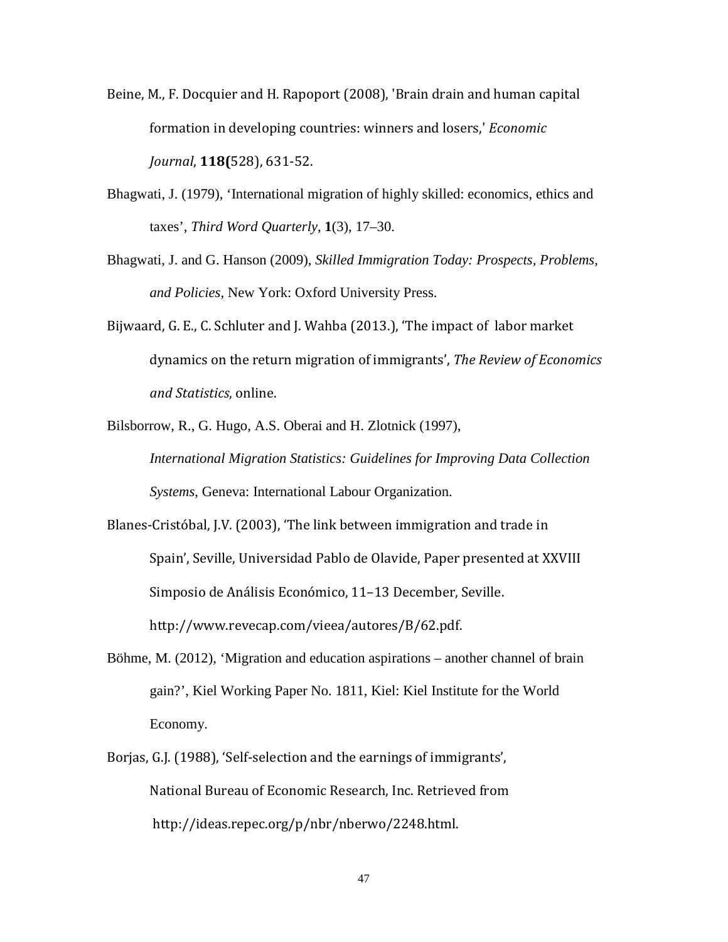- Beine, M., F. Docquier and H. Rapoport (2008), 'Brain drain and human capital formation in developing countries: winners and losers,' *Economic Journal*, **118(**528), 631-52.
- Bhagwati, J. (1979), 'International migration of highly skilled: economics, ethics and taxes', *Third Word Quarterly*, **1**(3), 17–30.
- Bhagwati, J. and G. Hanson (2009), *Skilled Immigration Today: Prospects, Problems, and Policies*, New York: Oxford University Press.
- Bijwaard, G. E., C. Schluter and J. Wahba (2013.), 'The impact of labor market dynamics on the return migration of immigrants', *The Review of Economics and Statistics*, online.
- Bilsborrow, R., G. Hugo, A.S. Oberai and H. Zlotnick (1997), *International Migration Statistics: Guidelines for Improving Data Collection Systems*, Geneva: International Labour Organization.
- Blanes-Cristóbal, J.V. (2003), 'The link between immigration and trade in Spain', Seville, Universidad Pablo de Olavide, Paper presented at XXVIII Simposio de Análisis Económico, 11–13 December, Seville. http://www.revecap.com/vieea/autores/B/62.pdf.
- Böhme, M. (2012), 'Migration and education aspirations another channel of brain gain?', Kiel Working Paper No. 1811, Kiel: Kiel Institute for the World Economy.
- Borjas, G.J. (1988), 'Self-selection and the earnings of immigrants', National Bureau of Economic Research, Inc. Retrieved from http://ideas.repec.org/p/nbr/nberwo/2248.html.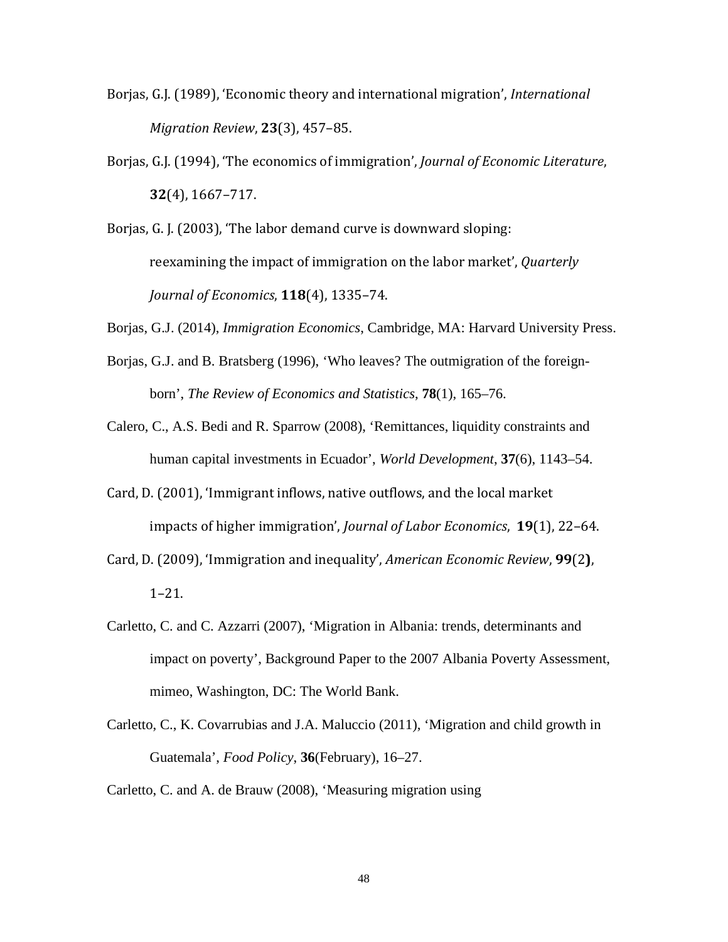- Borjas, G.J. (1989), 'Economic theory and international migration', *International Migration Review*, **23**(3), 457–85.
- Borjas, G.J. (1994), 'The economics of immigration', *Journal of Economic Literature*, **32**(4), 1667–717.
- Borjas, G. J. (2003), 'The labor demand curve is downward sloping: reexamining the impact of immigration on the labor market', *Quarterly Journal of Economics*, **118**(4), 1335–74.
- Borjas, G.J. (2014), *Immigration Economics*, Cambridge, MA: Harvard University Press.
- Borjas, G.J. and B. Bratsberg (1996), 'Who leaves? The outmigration of the foreignborn', *The Review of Economics and Statistics*, **78**(1), 165–76.
- Calero, C., A.S. Bedi and R. Sparrow (2008), 'Remittances, liquidity constraints and human capital investments in Ecuador', *World Development*, **37**(6), 1143–54.
- Card, D. (2001), 'Immigrant inflows, native outflows, and the local market impacts of higher immigration', *Journal of Labor Economics*, **19**(1), 22–64.
- Card, D. (2009), 'Immigration and inequality', *American Economic Review*, **99**(2**)**, 1–21.
- Carletto, C. and C. Azzarri (2007), 'Migration in Albania: trends, determinants and impact on poverty', Background Paper to the 2007 Albania Poverty Assessment, mimeo, Washington, DC: The World Bank.
- Carletto, C., K. Covarrubias and J.A. Maluccio (2011), 'Migration and child growth in Guatemala', *Food Policy*, **36**(February), 16–27.
- Carletto, C. and A. de Brauw (2008), 'Measuring migration using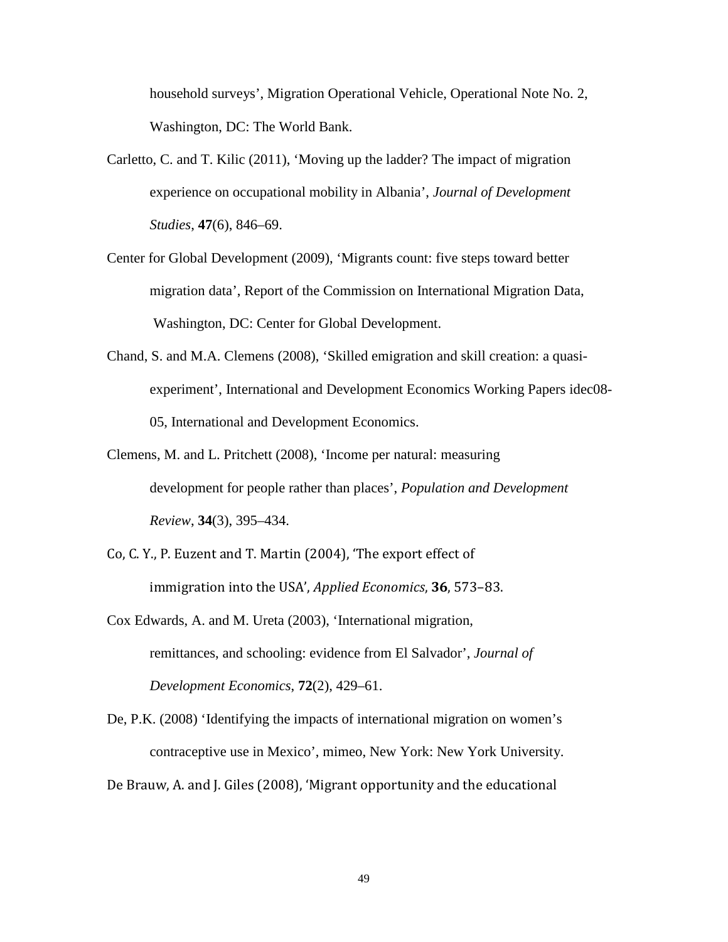household surveys', Migration Operational Vehicle, Operational Note No. 2, Washington, DC: The World Bank.

- Carletto, C. and T. Kilic (2011), 'Moving up the ladder? The impact of migration experience on occupational mobility in Albania', *Journal of Development Studies*, **47**(6), 846–69.
- Center for Global Development (2009), 'Migrants count: five steps toward better migration data', Report of the Commission on International Migration Data, Washington, DC: Center for Global Development.
- Chand, S. and M.A. Clemens (2008), 'Skilled emigration and skill creation: a quasiexperiment', International and Development Economics Working Papers idec08- 05, International and Development Economics.
- Clemens, M. and L. Pritchett (2008), 'Income per natural: measuring development for people rather than places', *Population and Development Review*, **34**(3), 395–434.
- Co, C. Y., P. Euzent and T. Martin (2004), 'The export effect of immigration into the USA', *Applied Economics*, **36**, 573–83.
- Cox Edwards, A. and M. Ureta (2003), 'International migration, remittances, and schooling: evidence from El Salvador', *Journal of Development Economics*, **72**(2), 429–61.
- De, P.K. (2008) 'Identifying the impacts of international migration on women's contraceptive use in Mexico', mimeo, New York: New York University.

De Brauw, A. and J. Giles (2008), 'Migrant opportunity and the educational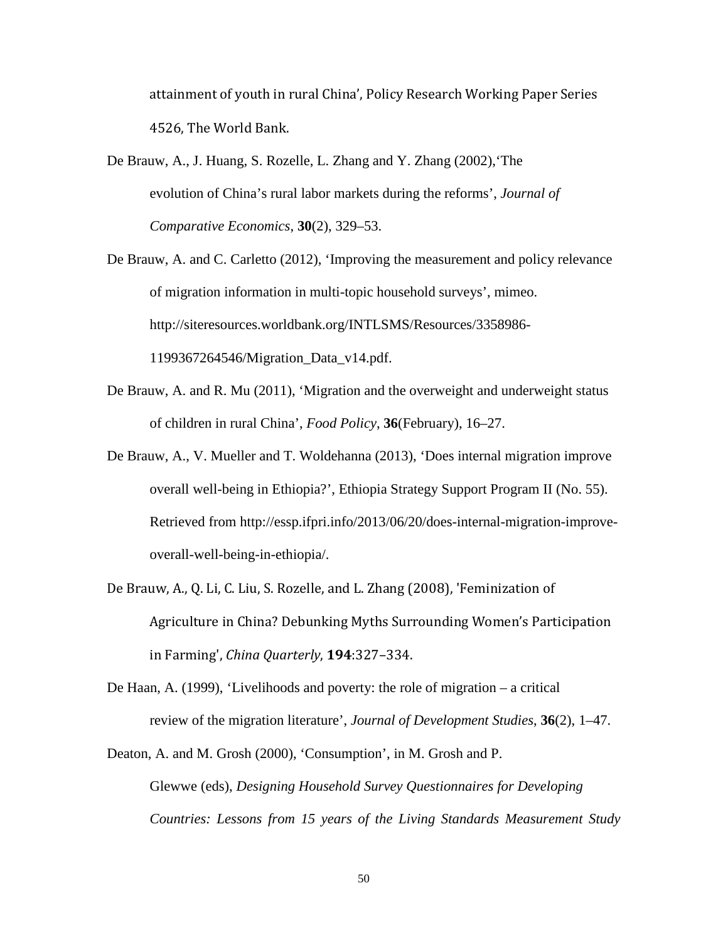attainment of youth in rural China', Policy Research Working Paper Series 4526, The World Bank.

- De Brauw, A., J. Huang, S. Rozelle, L. Zhang and Y. Zhang (2002),'The evolution of China's rural labor markets during the reforms', *Journal of Comparative Economics*, **30**(2), 329–53.
- De Brauw, A. and C. Carletto (2012), 'Improving the measurement and policy relevance of migration information in multi-topic household surveys', mimeo. http://siteresources.worldbank.org/INTLSMS/Resources/3358986- 1199367264546/Migration\_Data\_v14.pdf.
- De Brauw, A. and R. Mu (2011), 'Migration and the overweight and underweight status of children in rural China', *Food Policy*, **36**(February), 16–27.
- De Brauw, A., V. Mueller and T. Woldehanna (2013), 'Does internal migration improve overall well-being in Ethiopia?', Ethiopia Strategy Support Program II (No. 55). Retrieved from http://essp.ifpri.info/2013/06/20/does-internal-migration-improveoverall-well-being-in-ethiopia/.
- De Brauw, A., Q. Li, C. Liu, S. Rozelle, and L. Zhang (2008), 'Feminization of Agriculture in China? Debunking Myths Surrounding Women's Participation in Farming', *China Quarterly*, **194**:327–334.
- De Haan, A. (1999), 'Livelihoods and poverty: the role of migration a critical review of the migration literature', *Journal of Development Studies*, **36**(2), 1–47.
- Deaton, A. and M. Grosh (2000), 'Consumption', in M. Grosh and P. Glewwe (eds), *Designing Household Survey Questionnaires for Developing Countries: Lessons from 15 years of the Living Standards Measurement Study*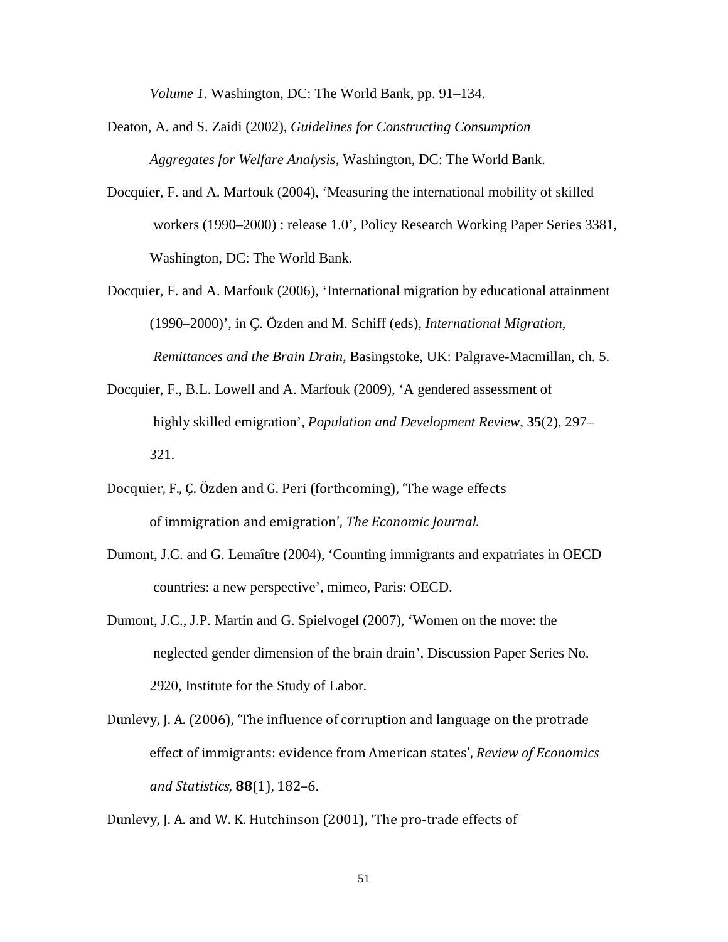*Volume 1*. Washington, DC: The World Bank, pp. 91–134.

- Deaton, A. and S. Zaidi (2002), *Guidelines for Constructing Consumption Aggregates for Welfare Analysis*, Washington, DC: The World Bank.
- Docquier, F. and A. Marfouk (2004), 'Measuring the international mobility of skilled workers (1990–2000) : release 1.0', Policy Research Working Paper Series 3381, Washington, DC: The World Bank.
- Docquier, F. and A. Marfouk (2006), 'International migration by educational attainment (1990–2000)', in Ç. Özden and M. Schiff (eds), *International Migration, Remittances and the Brain Drain*, Basingstoke, UK: Palgrave-Macmillan, ch. 5.
- Docquier, F., B.L. Lowell and A. Marfouk (2009), 'A gendered assessment of highly skilled emigration', *Population and Development Review*, **35**(2), 297– 321.
- Docquier, F., Ç. Özden and G. Peri (forthcoming), 'The wage effects of immigration and emigration', *The Economic Journal.*
- Dumont, J.C. and G. Lemaître (2004), 'Counting immigrants and expatriates in OECD countries: a new perspective', mimeo, Paris: OECD.
- Dumont, J.C., J.P. Martin and G. Spielvogel (2007), 'Women on the move: the neglected gender dimension of the brain drain', Discussion Paper Series No. 2920, Institute for the Study of Labor.
- Dunlevy, J. A. (2006), 'The influence of corruption and language on the protrade effect of immigrants: evidence from American states', *Review of Economics and Statistics*, **88**(1), 182–6.

Dunlevy, J. A. and W. K. Hutchinson (2001), 'The pro-trade effects of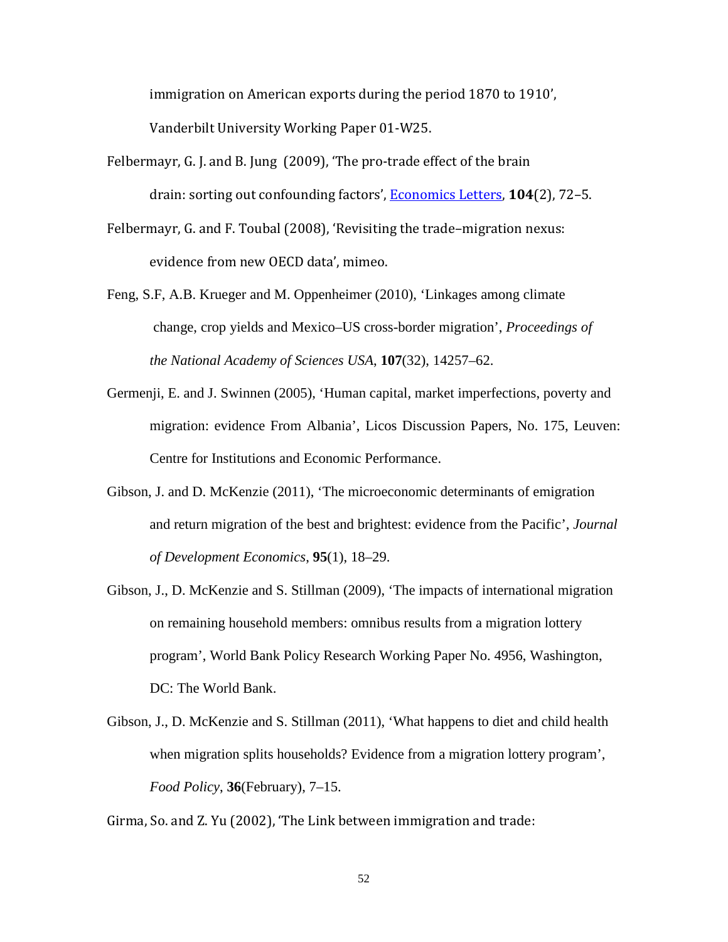immigration on American exports during the period 1870 to 1910', Vanderbilt University Working Paper 01-W25.

- Felbermayr, G. J. and B. Jung (2009), 'The pro-trade effect of the brain drain: sorting out confounding factors', [Economics Letters,](http://ideas.repec.org/s/eee/ecolet.html) **104**(2), 72–5.
- Felbermayr, G. and F. Toubal (2008), 'Revisiting the trade–migration nexus: evidence from new OECD data', mimeo.
- Feng, S.F, A.B. Krueger and M. Oppenheimer (2010), 'Linkages among climate change, crop yields and Mexico–US cross-border migration', *Proceedings of the National Academy of Sciences USA*, **107**(32), 14257–62.
- Germenji, E. and J. Swinnen (2005), 'Human capital, market imperfections, poverty and migration: evidence From Albania', Licos Discussion Papers, No. 175, Leuven: Centre for Institutions and Economic Performance.
- Gibson, J. and D. McKenzie (2011), 'The microeconomic determinants of emigration and return migration of the best and brightest: evidence from the Pacific', *Journal of Development Economics*, **95**(1), 18–29.
- Gibson, J., D. McKenzie and S. Stillman (2009), 'The impacts of international migration on remaining household members: omnibus results from a migration lottery program', World Bank Policy Research Working Paper No. 4956, Washington, DC: The World Bank.
- Gibson, J., D. McKenzie and S. Stillman (2011), 'What happens to diet and child health when migration splits households? Evidence from a migration lottery program', *Food Policy*, **36**(February), 7–15.

Girma, So. and Z. Yu (2002), 'The Link between immigration and trade: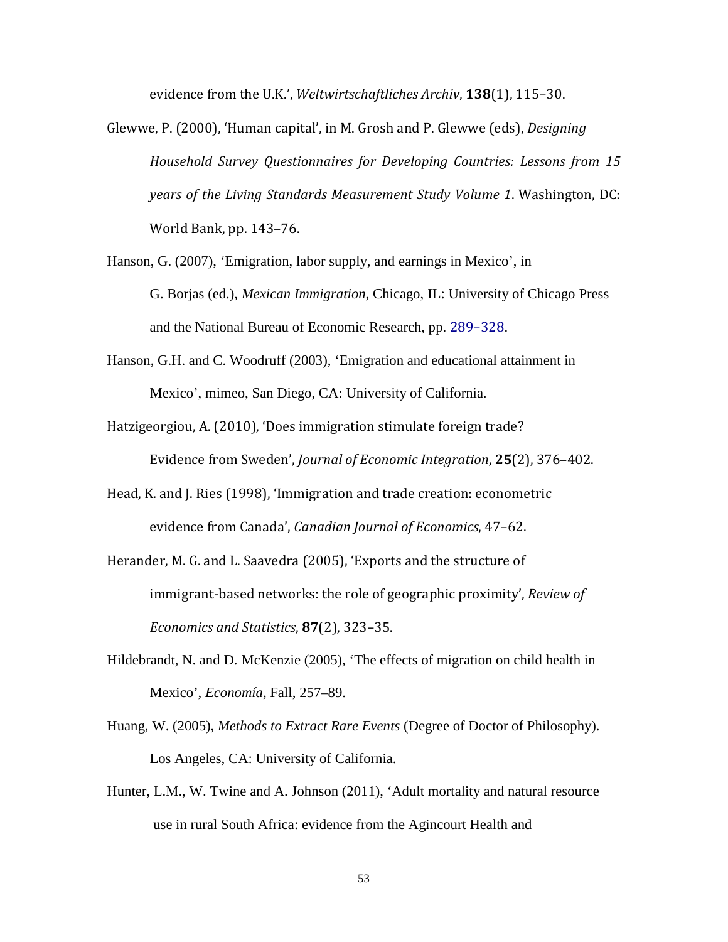evidence from the U.K.', *Weltwirtschaftliches Archiv*, **138**(1), 115–30.

- Glewwe, P. (2000), 'Human capital', in M. Grosh and P. Glewwe (eds), *Designing Household Survey Questionnaires for Developing Countries: Lessons from 15 years of the Living Standards Measurement Study Volume 1*. Washington, DC: World Bank, pp. 143–76.
- Hanson, G. (2007), 'Emigration, labor supply, and earnings in Mexico', in G. Borjas (ed.), *Mexican Immigration*, Chicago, IL: University of Chicago Press and the National Bureau of Economic Research, pp. 289–328.
- Hanson, G.H. and C. Woodruff (2003), 'Emigration and educational attainment in Mexico', mimeo, San Diego, CA: University of California.
- Hatzigeorgiou, A. (2010), 'Does immigration stimulate foreign trade? Evidence from Sweden', *Journal of Economic Integration*, **25**(2), 376–402.
- Head, K. and J. Ries (1998), 'Immigration and trade creation: econometric evidence from Canada', *Canadian Journal of Economics*, 47–62.
- Herander, M. G. and L. Saavedra (2005), 'Exports and the structure of immigrant-based networks: the role of geographic proximity', *Review of Economics and Statistics*, **87**(2), 323–35.
- Hildebrandt, N. and D. McKenzie (2005), 'The effects of migration on child health in Mexico', *Economía*, Fall, 257–89.
- Huang, W. (2005), *Methods to Extract Rare Events* (Degree of Doctor of Philosophy). Los Angeles, CA: University of California.
- Hunter, L.M., W. Twine and A. Johnson (2011), 'Adult mortality and natural resource use in rural South Africa: evidence from the Agincourt Health and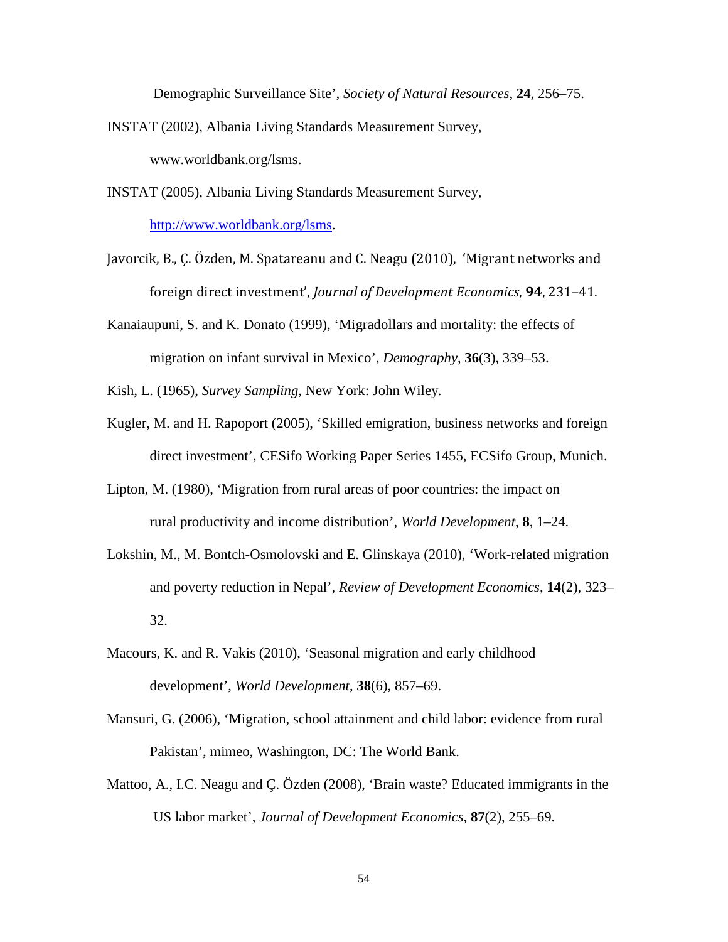Demographic Surveillance Site', *Society of Natural Resources*, **24**, 256–75.

- INSTAT (2002), Albania Living Standards Measurement Survey, www.worldbank.org/lsms.
- INSTAT (2005), Albania Living Standards Measurement Survey, [http://www.worldbank.org/lsms.](http://www.worldbank.org/lsms)
- Javorcik, B., Ç. Özden, M. Spatareanu and C. Neagu (2010), 'Migrant networks and foreign direct investment', *Journal of Development Economics*, **94**, 231–41.
- Kanaiaupuni, S. and K. Donato (1999), 'Migradollars and mortality: the effects of migration on infant survival in Mexico', *Demography*, **36**(3), 339–53.
- Kish, L. (1965), *Survey Sampling*, New York: John Wiley.
- Kugler, M. and H. Rapoport (2005), 'Skilled emigration, business networks and foreign direct investment', CESifo Working Paper Series 1455, ECSifo Group, Munich.
- Lipton, M. (1980), 'Migration from rural areas of poor countries: the impact on rural productivity and income distribution', *World Development*, **8**, 1–24.
- Lokshin, M., M. Bontch-Osmolovski and E. Glinskaya (2010), 'Work-related migration and poverty reduction in Nepal', *Review of Development Economics*, **14**(2), 323– 32.
- Macours, K. and R. Vakis (2010), 'Seasonal migration and early childhood development', *World Development*, **38**(6), 857–69.
- Mansuri, G. (2006), 'Migration, school attainment and child labor: evidence from rural Pakistan', mimeo, Washington, DC: The World Bank.
- Mattoo, A., I.C. Neagu and Ç. Özden (2008), 'Brain waste? Educated immigrants in the US labor market', *Journal of Development Economics*, **87**(2), 255–69.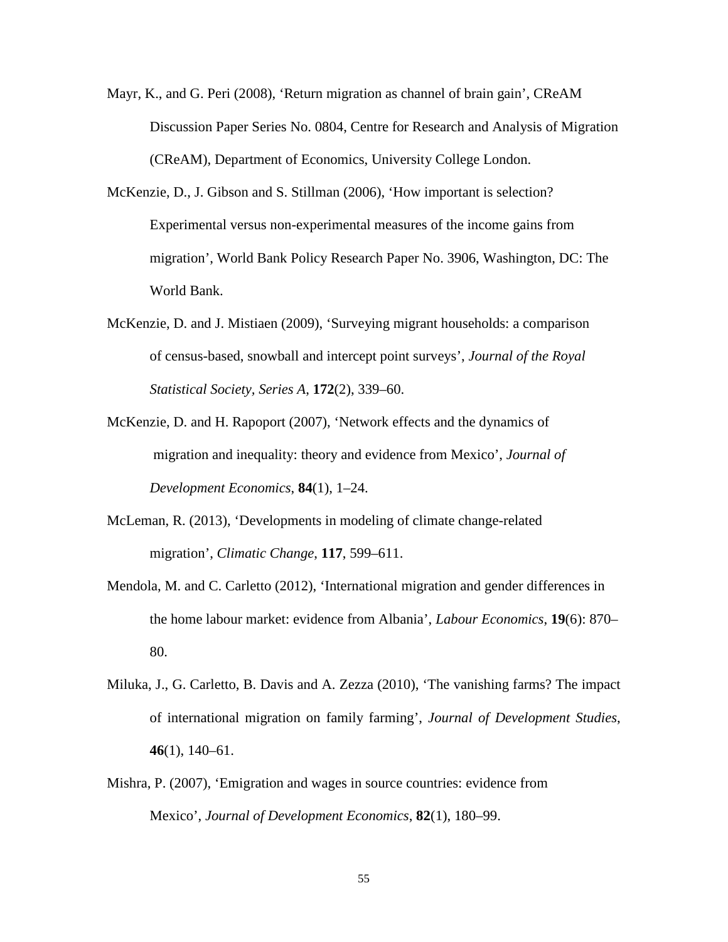- Mayr, K., and G. Peri (2008), 'Return migration as channel of brain gain', CReAM Discussion Paper Series No. 0804, Centre for Research and Analysis of Migration (CReAM), Department of Economics, University College London.
- McKenzie, D., J. Gibson and S. Stillman (2006), 'How important is selection? Experimental versus non-experimental measures of the income gains from migration', World Bank Policy Research Paper No. 3906, Washington, DC: The World Bank.
- McKenzie, D. and J. Mistiaen (2009), 'Surveying migrant households: a comparison of census-based, snowball and intercept point surveys', *Journal of the Royal Statistical Society, Series A*, **172**(2), 339–60.
- McKenzie, D. and H. Rapoport (2007), 'Network effects and the dynamics of migration and inequality: theory and evidence from Mexico', *Journal of Development Economics*, **84**(1), 1–24.
- McLeman, R. (2013), 'Developments in modeling of climate change-related migration', *Climatic Change*, **117**, 599–611.
- Mendola, M. and C. Carletto (2012), 'International migration and gender differences in the home labour market: evidence from Albania', *Labour Economics*, **19**(6): 870– 80.
- Miluka, J., G. Carletto, B. Davis and A. Zezza (2010), 'The vanishing farms? The impact of international migration on family farming', *Journal of Development Studies*, **46**(1), 140–61.
- Mishra, P. (2007), 'Emigration and wages in source countries: evidence from Mexico', *Journal of Development Economics*, **82**(1), 180–99.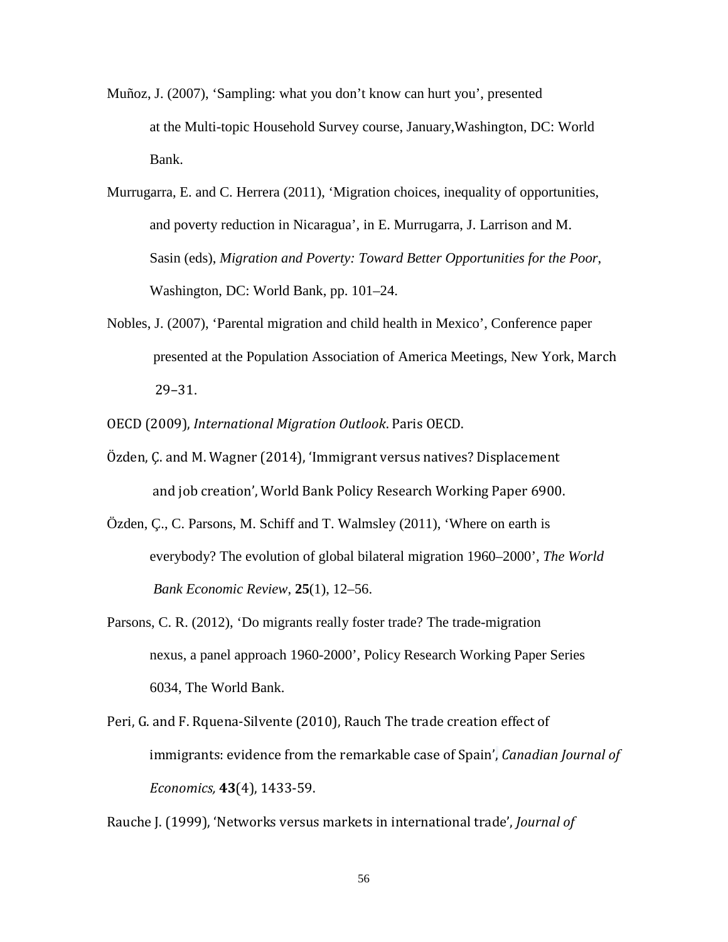- Muñoz, J. (2007), 'Sampling: what you don't know can hurt you', presented at the Multi-topic Household Survey course, January,Washington, DC: World Bank.
- Murrugarra, E. and C. Herrera (2011), 'Migration choices, inequality of opportunities, and poverty reduction in Nicaragua', in E. Murrugarra, J. Larrison and M. Sasin (eds), *Migration and Poverty: Toward Better Opportunities for the Poor*, Washington, DC: World Bank, pp. 101–24.
- Nobles, J. (2007), 'Parental migration and child health in Mexico', Conference paper presented at the Population Association of America Meetings, New York, March 29–31.

OECD (2009), *International Migration Outlook*. Paris OECD.

- Özden, Ç. and M. Wagner (2014), 'Immigrant versus natives? Displacement and job creation', World Bank Policy Research Working Paper 6900.
- Özden, Ç., C. Parsons, M. Schiff and T. Walmsley (2011), 'Where on earth is everybody? The evolution of global bilateral migration 1960–2000', *The World Bank Economic Review*, **25**(1), 12–56.
- Parsons, C. R. (2012), 'Do migrants really foster trade? The trade-migration nexus, a panel approach 1960-2000', Policy Research Working Paper Series 6034, The World Bank.
- Peri, G. and F. Rquena-Silvente (2010), Rauch The trade creation effect of immigrants: evidence from the remarkable case of Spain', *Canadian Journal of Economics,* **43**(4), 1433-59.

Rauche J. (1999), 'Networks versus markets in international trade', *Journal of*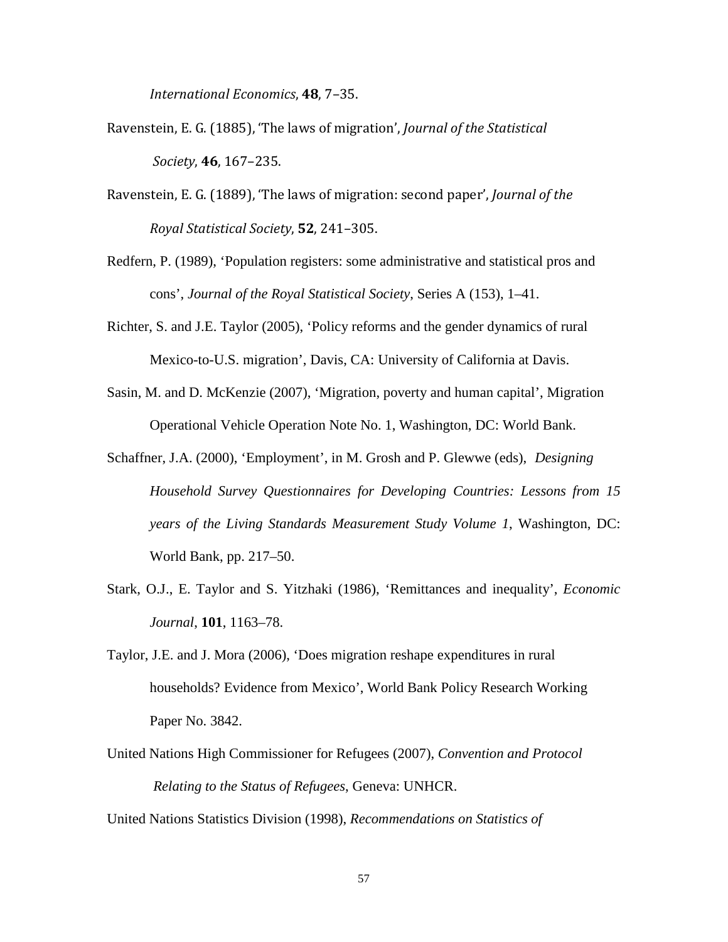*International Economics*, **48**, 7–35.

- Ravenstein, E. G. (1885), 'The laws of migration', *Journal of the Statistical Society*, **46**, 167–235.
- Ravenstein, E. G. (1889), 'The laws of migration: second paper', *Journal of the Royal Statistical Society*, **52**, 241–305.
- Redfern, P. (1989), 'Population registers: some administrative and statistical pros and cons', *Journal of the Royal Statistical Society*, Series A (153), 1–41.
- Richter, S. and J.E. Taylor (2005), 'Policy reforms and the gender dynamics of rural Mexico-to-U.S. migration', Davis, CA: University of California at Davis.
- Sasin, M. and D. McKenzie (2007), 'Migration, poverty and human capital', Migration Operational Vehicle Operation Note No. 1, Washington, DC: World Bank.
- Schaffner, J.A. (2000), 'Employment', in M. Grosh and P. Glewwe (eds), *Designing Household Survey Questionnaires for Developing Countries: Lessons from 15 years of the Living Standards Measurement Study Volume 1*, Washington, DC: World Bank, pp. 217–50.
- Stark, O.J., E. Taylor and S. Yitzhaki (1986), 'Remittances and inequality', *Economic Journal*, **101**, 1163–78.
- Taylor, J.E. and J. Mora (2006), 'Does migration reshape expenditures in rural households? Evidence from Mexico', World Bank Policy Research Working Paper No. 3842.
- United Nations High Commissioner for Refugees (2007), *Convention and Protocol Relating to the Status of Refugees*, Geneva: UNHCR.

United Nations Statistics Division (1998), *Recommendations on Statistics of*